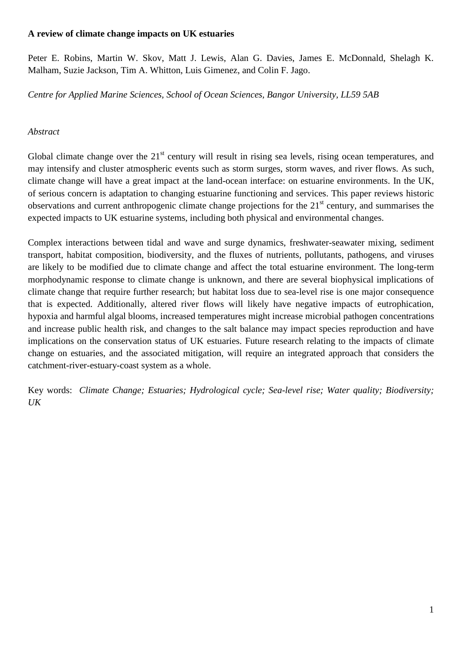# **A review of climate change impacts on UK estuaries**

Peter E. Robins, Martin W. Skov, Matt J. Lewis, Alan G. Davies, James E. McDonnald, Shelagh K. Malham, Suzie Jackson, Tim A. Whitton, Luis Gimenez, and Colin F. Jago.

*Centre for Applied Marine Sciences, School of Ocean Sciences, Bangor University, LL59 5AB*

### *Abstract*

Global climate change over the 21<sup>st</sup> century will result in rising sea levels, rising ocean temperatures, and may intensify and cluster atmospheric events such as storm surges, storm waves, and river flows. As such, climate change will have a great impact at the land-ocean interface: on estuarine environments. In the UK, of serious concern is adaptation to changing estuarine functioning and services. This paper reviews historic observations and current anthropogenic climate change projections for the  $21<sup>st</sup>$  century, and summarises the expected impacts to UK estuarine systems, including both physical and environmental changes.

Complex interactions between tidal and wave and surge dynamics, freshwater-seawater mixing, sediment transport, habitat composition, biodiversity, and the fluxes of nutrients, pollutants, pathogens, and viruses are likely to be modified due to climate change and affect the total estuarine environment. The long-term morphodynamic response to climate change is unknown, and there are several biophysical implications of climate change that require further research; but habitat loss due to sea-level rise is one major consequence that is expected. Additionally, altered river flows will likely have negative impacts of eutrophication, hypoxia and harmful algal blooms, increased temperatures might increase microbial pathogen concentrations and increase public health risk, and changes to the salt balance may impact species reproduction and have implications on the conservation status of UK estuaries. Future research relating to the impacts of climate change on estuaries, and the associated mitigation, will require an integrated approach that considers the catchment-river-estuary-coast system as a whole.

Key words: *Climate Change; Estuaries; Hydrological cycle; Sea-level rise; Water quality; Biodiversity; UK*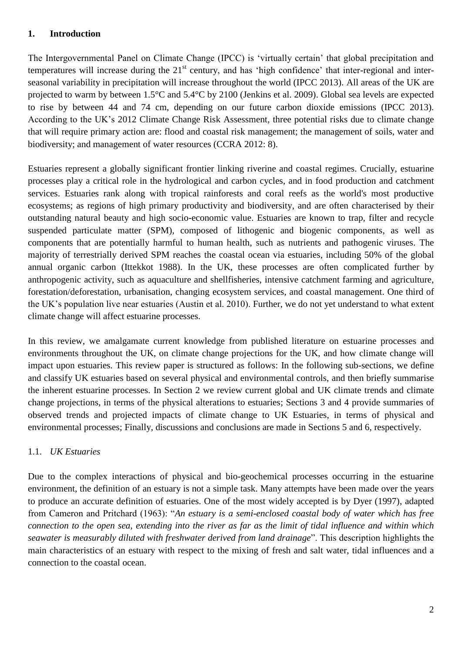# **1. Introduction**

The Intergovernmental Panel on Climate Change (IPCC) is 'virtually certain' that global precipitation and temperatures will increase during the 21<sup>st</sup> century, and has 'high confidence' that inter-regional and interseasonal variability in precipitation will increase throughout the world (IPCC 2013). All areas of the UK are projected to warm by between 1.5°C and 5.4°C by 2100 (Jenkins et al. 2009). Global sea levels are expected to rise by between 44 and 74 cm, depending on our future carbon dioxide emissions (IPCC 2013). According to the UK's 2012 Climate Change Risk Assessment, three potential risks due to climate change that will require primary action are: flood and coastal risk management; the management of soils, water and biodiversity; and management of water resources (CCRA 2012: 8).

Estuaries represent a globally significant frontier linking riverine and coastal regimes. Crucially, estuarine processes play a critical role in the hydrological and carbon cycles, and in food production and catchment services. Estuaries rank along with tropical rainforests and coral reefs as the world's most productive ecosystems; as regions of high primary productivity and biodiversity, and are often characterised by their outstanding natural beauty and high socio-economic value. Estuaries are known to trap, filter and recycle suspended particulate matter (SPM), composed of lithogenic and biogenic components, as well as components that are potentially harmful to human health, such as nutrients and pathogenic viruses. The majority of terrestrially derived SPM reaches the coastal ocean via estuaries, including 50% of the global annual organic carbon (Ittekkot 1988). In the UK, these processes are often complicated further by anthropogenic activity, such as aquaculture and shellfisheries, intensive catchment farming and agriculture, forestation/deforestation, urbanisation, changing ecosystem services, and coastal management. One third of the UK's population live near estuaries (Austin et al. 2010). Further, we do not yet understand to what extent climate change will affect estuarine processes.

In this review, we amalgamate current knowledge from published literature on estuarine processes and environments throughout the UK, on climate change projections for the UK, and how climate change will impact upon estuaries. This review paper is structured as follows: In the following sub-sections, we define and classify UK estuaries based on several physical and environmental controls, and then briefly summarise the inherent estuarine processes. In Section 2 we review current global and UK climate trends and climate change projections, in terms of the physical alterations to estuaries; Sections 3 and 4 provide summaries of observed trends and projected impacts of climate change to UK Estuaries, in terms of physical and environmental processes; Finally, discussions and conclusions are made in Sections 5 and 6, respectively.

# 1.1. *UK Estuaries*

Due to the complex interactions of physical and bio-geochemical processes occurring in the estuarine environment, the definition of an estuary is not a simple task. Many attempts have been made over the years to produce an accurate definition of estuaries. One of the most widely accepted is by Dyer (1997), adapted from Cameron and Pritchard (1963): "*An estuary is a semi-enclosed coastal body of water which has free connection to the open sea, extending into the river as far as the limit of tidal influence and within which seawater is measurably diluted with freshwater derived from land drainage*". This description highlights the main characteristics of an estuary with respect to the mixing of fresh and salt water, tidal influences and a connection to the coastal ocean.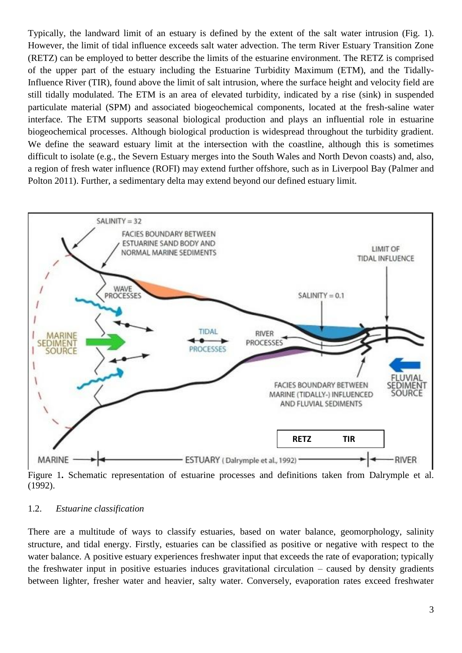Typically, the landward limit of an estuary is defined by the extent of the salt water intrusion (Fig. 1). However, the limit of tidal influence exceeds salt water advection. The term River Estuary Transition Zone (RETZ) can be employed to better describe the limits of the estuarine environment. The RETZ is comprised of the upper part of the estuary including the Estuarine Turbidity Maximum (ETM), and the Tidally-Influence River (TIR), found above the limit of salt intrusion, where the surface height and velocity field are still tidally modulated. The ETM is an area of elevated turbidity, indicated by a rise (sink) in suspended particulate material (SPM) and associated biogeochemical components, located at the fresh-saline water interface. The ETM supports seasonal biological production and plays an influential role in estuarine biogeochemical processes. Although biological production is widespread throughout the turbidity gradient. We define the seaward estuary limit at the intersection with the coastline, although this is sometimes difficult to isolate (e.g., the Severn Estuary merges into the South Wales and North Devon coasts) and, also, a region of fresh water influence (ROFI) may extend further offshore, such as in Liverpool Bay (Palmer and Polton 2011). Further, a sedimentary delta may extend beyond our defined estuary limit.



Figure 1**.** Schematic representation of estuarine processes and definitions taken from Dalrymple et al. (1992).

#### 1.2. *Estuarine classification*

There are a multitude of ways to classify estuaries, based on water balance, geomorphology, salinity structure, and tidal energy. Firstly, estuaries can be classified as positive or negative with respect to the water balance. A positive estuary experiences freshwater input that exceeds the rate of evaporation; typically the freshwater input in positive estuaries induces gravitational circulation – caused by density gradients between lighter, fresher water and heavier, salty water. Conversely, evaporation rates exceed freshwater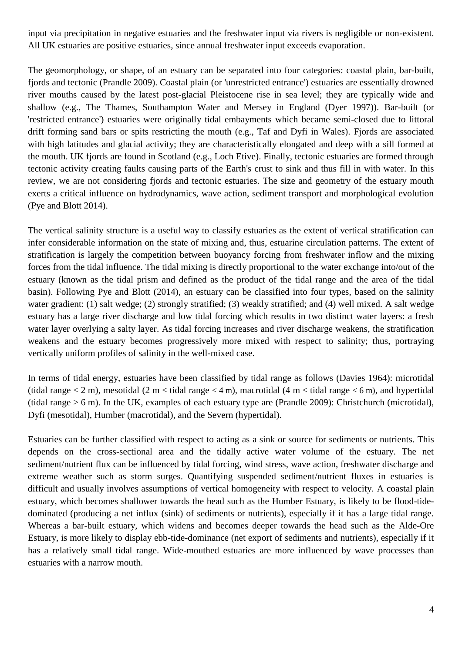input via precipitation in negative estuaries and the freshwater input via rivers is negligible or non-existent. All UK estuaries are positive estuaries, since annual freshwater input exceeds evaporation.

The geomorphology, or shape, of an estuary can be separated into four categories: coastal plain, bar-built, fjords and tectonic (Prandle 2009). Coastal plain (or 'unrestricted entrance') estuaries are essentially drowned river mouths caused by the latest post-glacial Pleistocene rise in sea level; they are typically wide and shallow (e.g., The Thames, Southampton Water and Mersey in England (Dyer 1997)). Bar-built (or 'restricted entrance') estuaries were originally tidal embayments which became semi-closed due to littoral drift forming sand bars or spits restricting the mouth (e.g., Taf and Dyfi in Wales). Fjords are associated with high latitudes and glacial activity; they are characteristically elongated and deep with a sill formed at the mouth. UK fjords are found in Scotland (e.g., Loch Etive). Finally, tectonic estuaries are formed through tectonic activity creating faults causing parts of the Earth's crust to sink and thus fill in with water. In this review, we are not considering fjords and tectonic estuaries. The size and geometry of the estuary mouth exerts a critical influence on hydrodynamics, wave action, sediment transport and morphological evolution (Pye and Blott 2014).

The vertical salinity structure is a useful way to classify estuaries as the extent of vertical stratification can infer considerable information on the state of mixing and, thus, estuarine circulation patterns. The extent of stratification is largely the competition between buoyancy forcing from freshwater inflow and the mixing forces from the tidal influence. The tidal mixing is directly proportional to the water exchange into/out of the estuary (known as the tidal prism and defined as the product of the tidal range and the area of the tidal basin). Following Pye and Blott (2014), an estuary can be classified into four types, based on the salinity water gradient: (1) salt wedge; (2) strongly stratified; (3) weakly stratified; and (4) well mixed. A salt wedge estuary has a large river discharge and low tidal forcing which results in two distinct water layers: a fresh water layer overlying a salty layer. As tidal forcing increases and river discharge weakens, the stratification weakens and the estuary becomes progressively more mixed with respect to salinity; thus, portraying vertically uniform profiles of salinity in the well-mixed case.

In terms of tidal energy, estuaries have been classified by tidal range as follows (Davies 1964): microtidal (tidal range  $\lt 2$  m), mesotidal (2 m  $\lt$  tidal range  $\lt 4$  m), macrotidal (4 m  $\lt$  tidal range  $\lt 6$  m), and hypertidal (tidal range > 6 m). In the UK, examples of each estuary type are (Prandle 2009): Christchurch (microtidal), Dyfi (mesotidal), Humber (macrotidal), and the Severn (hypertidal).

Estuaries can be further classified with respect to acting as a sink or source for sediments or nutrients. This depends on the cross-sectional area and the tidally active water volume of the estuary. The net sediment/nutrient flux can be influenced by tidal forcing, wind stress, wave action, freshwater discharge and extreme weather such as storm surges. Quantifying suspended sediment/nutrient fluxes in estuaries is difficult and usually involves assumptions of vertical homogeneity with respect to velocity. A coastal plain estuary, which becomes shallower towards the head such as the Humber Estuary, is likely to be flood-tidedominated (producing a net influx (sink) of sediments or nutrients), especially if it has a large tidal range. Whereas a bar-built estuary, which widens and becomes deeper towards the head such as the Alde-Ore Estuary, is more likely to display ebb-tide-dominance (net export of sediments and nutrients), especially if it has a relatively small tidal range. Wide-mouthed estuaries are more influenced by wave processes than estuaries with a narrow mouth.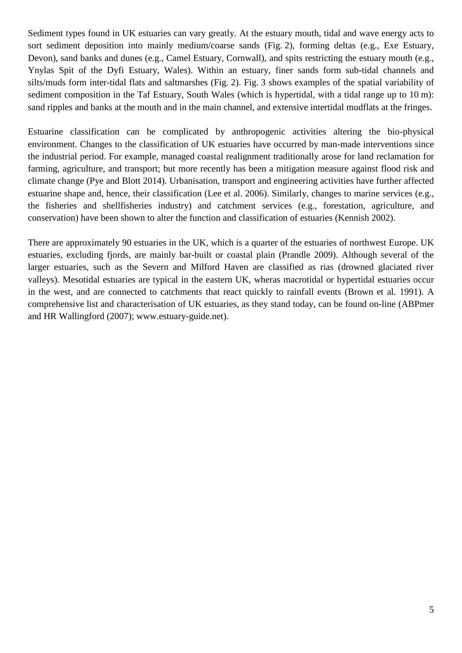Sediment types found in UK estuaries can vary greatly. At the estuary mouth, tidal and wave energy acts to sort sediment deposition into mainly medium/coarse sands (Fig. 2), forming deltas (e.g., Exe Estuary, Devon), sand banks and dunes (e.g., Camel Estuary, Cornwall), and spits restricting the estuary mouth (e.g., Ynylas Spit of the Dyfi Estuary, Wales). Within an estuary, finer sands form sub-tidal channels and silts/muds form inter-tidal flats and saltmarshes (Fig. 2). Fig. 3 shows examples of the spatial variability of sediment composition in the Taf Estuary, South Wales (which is hypertidal, with a tidal range up to 10 m): sand ripples and banks at the mouth and in the main channel, and extensive intertidal mudflats at the fringes.

Estuarine classification can be complicated by anthropogenic activities altering the bio-physical environment. Changes to the classification of UK estuaries have occurred by man-made interventions since the industrial period. For example, managed coastal realignment traditionally arose for land reclamation for farming, agriculture, and transport; but more recently has been a mitigation measure against flood risk and climate change (Pye and Blott 2014). Urbanisation, transport and engineering activities have further affected estuarine shape and, hence, their classification (Lee et al. 2006). Similarly, changes to marine services (e.g., the fisheries and shellfisheries industry) and catchment services (e.g., forestation, agriculture, and conservation) have been shown to alter the function and classification of estuaries (Kennish 2002).

There are approximately 90 estuaries in the UK, which is a quarter of the estuaries of northwest Europe. UK estuaries, excluding fjords, are mainly bar-built or coastal plain (Prandle 2009). Although several of the larger estuaries, such as the Severn and Milford Haven are classified as rias (drowned glaciated river valleys). Mesotidal estuaries are typical in the eastern UK, wheras macrotidal or hypertidal estuaries occur in the west, and are connected to catchments that react quickly to rainfall events (Brown et al. 1991). A comprehensive list and characterisation of UK estuaries, as they stand today, can be found on-line (ABPmer and HR Wallingford (2007); www.estuary-guide.net).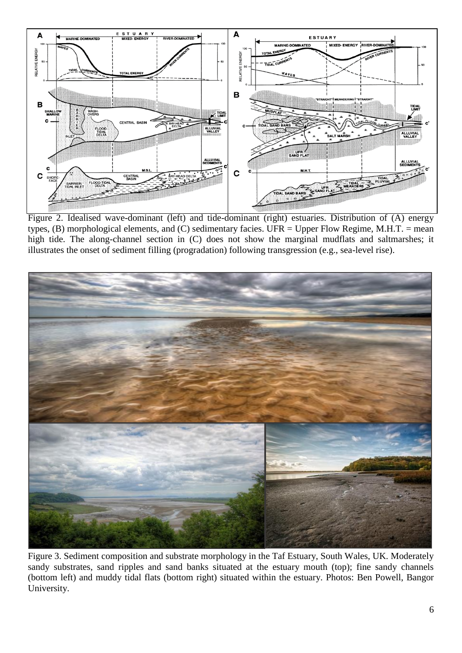

Figure 2. Idealised wave-dominant (left) and tide-dominant (right) estuaries. Distribution of (A) energy types,  $(B)$  morphological elements, and  $(C)$  sedimentary facies. UFR = Upper Flow Regime, M.H.T. = mean high tide. The along-channel section in (C) does not show the marginal mudflats and saltmarshes; it illustrates the onset of sediment filling (progradation) following transgression (e.g., sea-level rise).



Figure 3. Sediment composition and substrate morphology in the Taf Estuary, South Wales, UK. Moderately sandy substrates, sand ripples and sand banks situated at the estuary mouth (top); fine sandy channels (bottom left) and muddy tidal flats (bottom right) situated within the estuary. Photos: Ben Powell, Bangor University.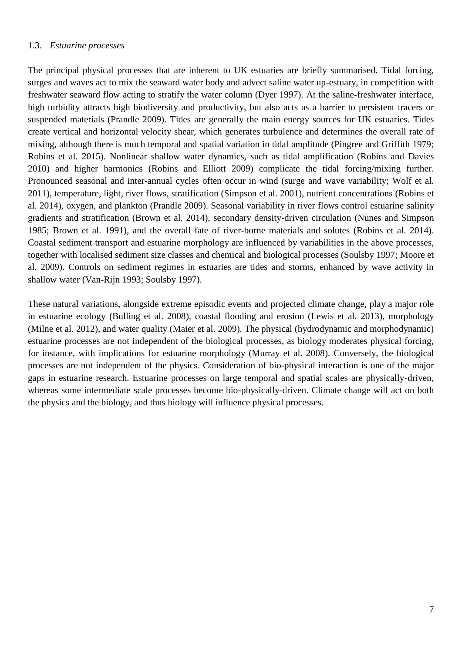#### 1.3. *Estuarine processes*

The principal physical processes that are inherent to UK estuaries are briefly summarised. Tidal forcing, surges and waves act to mix the seaward water body and advect saline water up-estuary, in competition with freshwater seaward flow acting to stratify the water column (Dyer 1997). At the saline-freshwater interface, high turbidity attracts high biodiversity and productivity, but also acts as a barrier to persistent tracers or suspended materials (Prandle 2009). Tides are generally the main energy sources for UK estuaries. Tides create vertical and horizontal velocity shear, which generates turbulence and determines the overall rate of mixing, although there is much temporal and spatial variation in tidal amplitude (Pingree and Griffith 1979; Robins et al. 2015). Nonlinear shallow water dynamics, such as tidal amplification (Robins and Davies 2010) and higher harmonics (Robins and Elliott 2009) complicate the tidal forcing/mixing further. Pronounced seasonal and inter-annual cycles often occur in wind (surge and wave variability; Wolf et al. 2011), temperature, light, river flows, stratification (Simpson et al. 2001), nutrient concentrations (Robins et al. 2014), oxygen, and plankton (Prandle 2009). Seasonal variability in river flows control estuarine salinity gradients and stratification (Brown et al. 2014), secondary density-driven circulation (Nunes and Simpson 1985; Brown et al. 1991), and the overall fate of river-borne materials and solutes (Robins et al. 2014). Coastal sediment transport and estuarine morphology are influenced by variabilities in the above processes, together with localised sediment size classes and chemical and biological processes (Soulsby 1997; Moore et al. 2009). Controls on sediment regimes in estuaries are tides and storms, enhanced by wave activity in shallow water (Van-Rijn 1993; Soulsby 1997).

These natural variations, alongside extreme episodic events and projected climate change, play a major role in estuarine ecology (Bulling et al. 2008), coastal flooding and erosion (Lewis et al. 2013), morphology (Milne et al. 2012), and water quality (Maier et al. 2009). The physical (hydrodynamic and morphodynamic) estuarine processes are not independent of the biological processes, as biology moderates physical forcing, for instance, with implications for estuarine morphology (Murray et al. 2008). Conversely, the biological processes are not independent of the physics. Consideration of bio-physical interaction is one of the major gaps in estuarine research. Estuarine processes on large temporal and spatial scales are physically-driven, whereas some intermediate scale processes become bio-physically-driven. Climate change will act on both the physics and the biology, and thus biology will influence physical processes.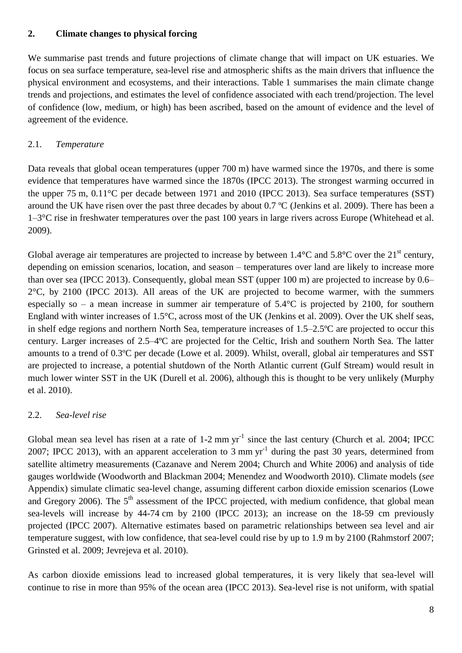# **2. Climate changes to physical forcing**

We summarise past trends and future projections of climate change that will impact on UK estuaries. We focus on sea surface temperature, sea-level rise and atmospheric shifts as the main drivers that influence the physical environment and ecosystems, and their interactions. Table 1 summarises the main climate change trends and projections, and estimates the level of confidence associated with each trend/projection. The level of confidence (low, medium, or high) has been ascribed, based on the amount of evidence and the level of agreement of the evidence.

# 2.1. *Temperature*

Data reveals that global ocean temperatures (upper 700 m) have warmed since the 1970s, and there is some evidence that temperatures have warmed since the 1870s (IPCC 2013). The strongest warming occurred in the upper 75 m, 0.11°C per decade between 1971 and 2010 (IPCC 2013). Sea surface temperatures (SST) around the UK have risen over the past three decades by about 0.7 ºC (Jenkins et al. 2009). There has been a 1–3°C rise in freshwater temperatures over the past 100 years in large rivers across Europe (Whitehead et al. 2009).

Global average air temperatures are projected to increase by between  $1.4^{\circ}$ C and  $5.8^{\circ}$ C over the  $21^{\text{st}}$  century, depending on emission scenarios, location, and season – temperatures over land are likely to increase more than over sea (IPCC 2013). Consequently, global mean SST (upper 100 m) are projected to increase by 0.6–  $2^{\circ}$ C, by 2100 (IPCC 2013). All areas of the UK are projected to become warmer, with the summers especially so – a mean increase in summer air temperature of 5.4°C is projected by 2100, for southern England with winter increases of 1.5°C, across most of the UK (Jenkins et al. 2009). Over the UK shelf seas, in shelf edge regions and northern North Sea, temperature increases of 1.5–2.5ºC are projected to occur this century. Larger increases of 2.5–4ºC are projected for the Celtic, Irish and southern North Sea. The latter amounts to a trend of 0.3ºC per decade (Lowe et al. 2009). Whilst, overall, global air temperatures and SST are projected to increase, a potential shutdown of the North Atlantic current (Gulf Stream) would result in much lower winter SST in the UK (Durell et al. 2006), although this is thought to be very unlikely (Murphy et al. 2010).

# 2.2. *Sea-level rise*

Global mean sea level has risen at a rate of  $1-2$  mm yr<sup>-1</sup> since the last century (Church et al. 2004; IPCC 2007; IPCC 2013), with an apparent acceleration to 3 mm  $yr^{-1}$  during the past 30 years, determined from satellite altimetry measurements (Cazanave and Nerem 2004; Church and White 2006) and analysis of tide gauges worldwide (Woodworth and Blackman 2004; Menendez and Woodworth 2010). Climate models (*see* Appendix) simulate climatic sea-level change, assuming different carbon dioxide emission scenarios (Lowe and Gregory 2006). The  $5<sup>th</sup>$  assessment of the IPCC projected, with medium confidence, that global mean sea-levels will increase by 44-74 cm by 2100 (IPCC 2013); an increase on the 18-59 cm previously projected (IPCC 2007). Alternative estimates based on parametric relationships between sea level and air temperature suggest, with low confidence, that sea-level could rise by up to 1.9 m by 2100 (Rahmstorf 2007; Grinsted et al. 2009; Jevrejeva et al. 2010).

As carbon dioxide emissions lead to increased global temperatures, it is very likely that sea-level will continue to rise in more than 95% of the ocean area (IPCC 2013). Sea-level rise is not uniform, with spatial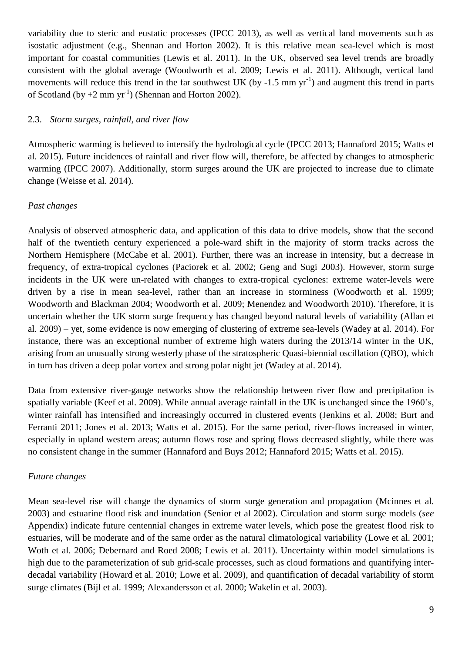variability due to steric and eustatic processes (IPCC 2013), as well as vertical land movements such as isostatic adjustment (e.g., Shennan and Horton 2002). It is this relative mean sea-level which is most important for coastal communities (Lewis et al. 2011). In the UK, observed sea level trends are broadly consistent with the global average (Woodworth et al. 2009; Lewis et al. 2011). Although, vertical land movements will reduce this trend in the far southwest UK (by  $-1.5$  mm yr<sup>-1</sup>) and augment this trend in parts of Scotland (by  $+2$  mm yr<sup>-1</sup>) (Shennan and Horton 2002).

### 2.3. *Storm surges, rainfall, and river flow*

Atmospheric warming is believed to intensify the hydrological cycle (IPCC 2013; Hannaford 2015; Watts et al. 2015). Future incidences of rainfall and river flow will, therefore, be affected by changes to atmospheric warming (IPCC 2007). Additionally, storm surges around the UK are projected to increase due to climate change (Weisse et al. 2014).

### *Past changes*

Analysis of observed atmospheric data, and application of this data to drive models, show that the second half of the twentieth century experienced a pole-ward shift in the majority of storm tracks across the Northern Hemisphere (McCabe et al. 2001). Further, there was an increase in intensity, but a decrease in frequency, of extra-tropical cyclones (Paciorek et al. 2002; Geng and Sugi 2003). However, storm surge incidents in the UK were un-related with changes to extra-tropical cyclones: extreme water-levels were driven by a rise in mean sea-level, rather than an increase in storminess (Woodworth et al. 1999; Woodworth and Blackman 2004; Woodworth et al. 2009; Menendez and Woodworth 2010). Therefore, it is uncertain whether the UK storm surge frequency has changed beyond natural levels of variability (Allan et al. 2009) – yet, some evidence is now emerging of clustering of extreme sea-levels (Wadey at al. 2014). For instance, there was an exceptional number of extreme high waters during the 2013/14 winter in the UK, arising from an unusually strong westerly phase of the stratospheric Quasi-biennial oscillation (QBO), which in turn has driven a deep polar vortex and strong polar night jet (Wadey at al. 2014).

Data from extensive river-gauge networks show the relationship between river flow and precipitation is spatially variable (Keef et al. 2009). While annual average rainfall in the UK is unchanged since the 1960's, winter rainfall has intensified and increasingly occurred in clustered events (Jenkins et al. 2008; Burt and Ferranti 2011; Jones et al. 2013; Watts et al. 2015). For the same period, river-flows increased in winter, especially in upland western areas; autumn flows rose and spring flows decreased slightly, while there was no consistent change in the summer (Hannaford and Buys 2012; Hannaford 2015; Watts et al. 2015).

#### *Future changes*

Mean sea-level rise will change the dynamics of storm surge generation and propagation (Mcinnes et al. 2003) and estuarine flood risk and inundation (Senior et al 2002). Circulation and storm surge models (*see* Appendix) indicate future centennial changes in extreme water levels, which pose the greatest flood risk to estuaries, will be moderate and of the same order as the natural climatological variability (Lowe et al. 2001; Woth et al. 2006; Debernard and Roed 2008; Lewis et al. 2011). Uncertainty within model simulations is high due to the parameterization of sub grid-scale processes, such as cloud formations and quantifying interdecadal variability (Howard et al. 2010; Lowe et al. 2009), and quantification of decadal variability of storm surge climates (Bijl et al. 1999; Alexandersson et al. 2000; Wakelin et al. 2003).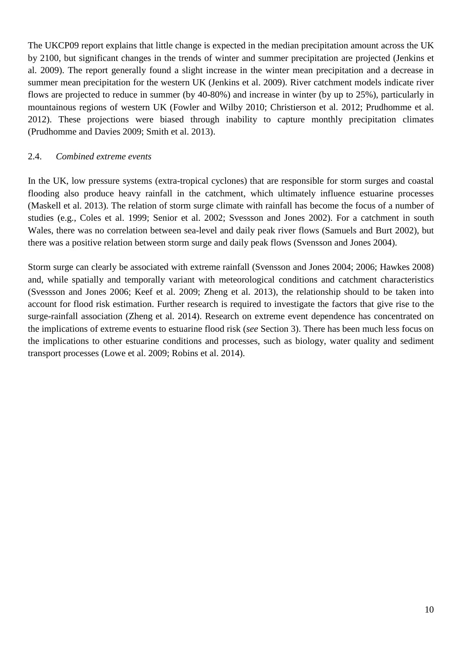The UKCP09 report explains that little change is expected in the median precipitation amount across the UK by 2100, but significant changes in the trends of winter and summer precipitation are projected (Jenkins et al. 2009). The report generally found a slight increase in the winter mean precipitation and a decrease in summer mean precipitation for the western UK (Jenkins et al. 2009). River catchment models indicate river flows are projected to reduce in summer (by 40-80%) and increase in winter (by up to 25%), particularly in mountainous regions of western UK (Fowler and Wilby 2010; Christierson et al. 2012; Prudhomme et al. 2012). These projections were biased through inability to capture monthly precipitation climates (Prudhomme and Davies 2009; Smith et al. 2013).

### 2.4. *Combined extreme events*

In the UK, low pressure systems (extra-tropical cyclones) that are responsible for storm surges and coastal flooding also produce heavy rainfall in the catchment, which ultimately influence estuarine processes (Maskell et al. 2013). The relation of storm surge climate with rainfall has become the focus of a number of studies (e.g., Coles et al. 1999; Senior et al. 2002; Svessson and Jones 2002). For a catchment in south Wales, there was no correlation between sea-level and daily peak river flows (Samuels and Burt 2002), but there was a positive relation between storm surge and daily peak flows (Svensson and Jones 2004).

Storm surge can clearly be associated with extreme rainfall (Svensson and Jones 2004; 2006; Hawkes 2008) and, while spatially and temporally variant with meteorological conditions and catchment characteristics (Svessson and Jones 2006; Keef et al. 2009; Zheng et al. 2013), the relationship should to be taken into account for flood risk estimation. Further research is required to investigate the factors that give rise to the surge-rainfall association (Zheng et al. 2014). Research on extreme event dependence has concentrated on the implications of extreme events to estuarine flood risk (*see* Section 3). There has been much less focus on the implications to other estuarine conditions and processes, such as biology, water quality and sediment transport processes (Lowe et al. 2009; Robins et al. 2014).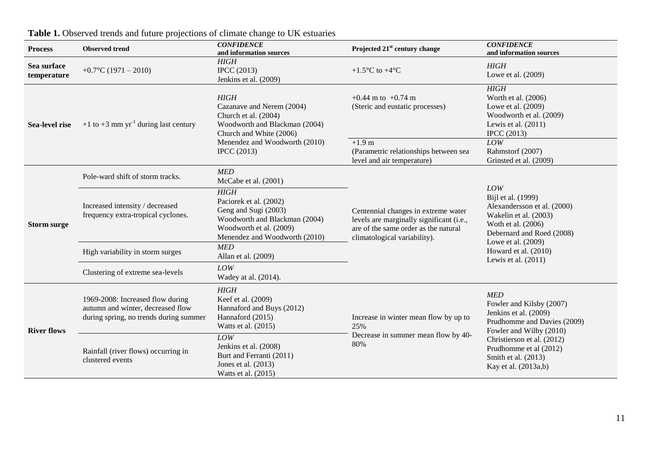| <b>Process</b>             | <b>Observed trend</b>                                                                                           | <b>CONFIDENCE</b><br>and information sources                                                                                                                                        | Projected 21 <sup>st</sup> century change                                                                                                               | <b>CONFIDENCE</b><br>and information sources                                                                                                                                                                                     |
|----------------------------|-----------------------------------------------------------------------------------------------------------------|-------------------------------------------------------------------------------------------------------------------------------------------------------------------------------------|---------------------------------------------------------------------------------------------------------------------------------------------------------|----------------------------------------------------------------------------------------------------------------------------------------------------------------------------------------------------------------------------------|
| Sea surface<br>temperature | $+0.7$ °C (1971 – 2010)                                                                                         | <b>HIGH</b><br>IPCC $(2013)$<br>Jenkins et al. (2009)                                                                                                                               | +1.5 $\mathrm{^{\circ}C}$ to +4 $\mathrm{^{\circ}C}$                                                                                                    | <b>HIGH</b><br>Lowe et al. (2009)                                                                                                                                                                                                |
| Sea-level rise             | +1 to +3 mm $yr^{-1}$ during last century                                                                       | <b>HIGH</b><br>Cazanave and Nerem (2004)<br>Church et al. (2004)<br>Woodworth and Blackman (2004)<br>Church and White (2006)<br>Menendez and Woodworth (2010)<br><b>IPCC</b> (2013) | $+0.44$ m to $+0.74$ m<br>(Steric and eustatic processes)                                                                                               | HIGH<br>Worth et al. (2006)<br>Lowe et al. (2009)<br>Woodworth et al. (2009)<br>Lewis et al. $(2011)$<br><b>IPCC</b> (2013)                                                                                                      |
|                            |                                                                                                                 |                                                                                                                                                                                     | $+1.9$ m<br>(Parametric relationships between sea<br>level and air temperature)                                                                         | LOW<br>Rahmstorf (2007)<br>Grinsted et al. (2009)                                                                                                                                                                                |
| <b>Storm surge</b>         | Pole-ward shift of storm tracks.                                                                                | MED<br>McCabe et al. (2001)                                                                                                                                                         | Centennial changes in extreme water<br>levels are marginally significant (i.e.,<br>are of the same order as the natural<br>climatological variability). | <b>LOW</b><br>Bijl et al. (1999)<br>Alexandersson et al. (2000)<br>Wakelin et al. (2003)<br>Woth et al. (2006)<br>Debernard and Roed (2008)<br>Lowe et al. (2009)<br>Howard et al. (2010)<br>Lewis et al. $(2011)$               |
|                            | Increased intensity / decreased<br>frequency extra-tropical cyclones.                                           | <b>HIGH</b><br>Paciorek et al. (2002)<br>Geng and Sugi (2003)<br>Woodworth and Blackman (2004)<br>Woodworth et al. (2009)<br>Menendez and Woodworth (2010)                          |                                                                                                                                                         |                                                                                                                                                                                                                                  |
|                            | High variability in storm surges                                                                                | <b>MED</b><br>Allan et al. (2009)                                                                                                                                                   |                                                                                                                                                         |                                                                                                                                                                                                                                  |
|                            | Clustering of extreme sea-levels                                                                                | LOW<br>Wadey at al. (2014).                                                                                                                                                         |                                                                                                                                                         |                                                                                                                                                                                                                                  |
| <b>River flows</b>         | 1969-2008: Increased flow during<br>autumn and winter, decreased flow<br>during spring, no trends during summer | <b>HIGH</b><br>Keef et al. (2009)<br>Hannaford and Buys (2012)<br>Hannaford (2015)<br>Watts et al. (2015)                                                                           | Increase in winter mean flow by up to<br>25%<br>Decrease in summer mean flow by 40-<br>80%                                                              | <b>MED</b><br>Fowler and Kilsby (2007)<br>Jenkins et al. (2009)<br>Prudhomme and Davies (2009)<br>Fowler and Wilby (2010)<br>Christierson et al. (2012)<br>Prudhomme et al (2012)<br>Smith et al. (2013)<br>Kay et al. (2013a,b) |
|                            | Rainfall (river flows) occurring in<br>clustered events                                                         | LOW<br>Jenkins et al. (2008)<br>Burt and Ferranti (2011)<br>Jones et al. (2013)<br>Watts et al. (2015)                                                                              |                                                                                                                                                         |                                                                                                                                                                                                                                  |

# **Table 1.** Observed trends and future projections of climate change to UK estuaries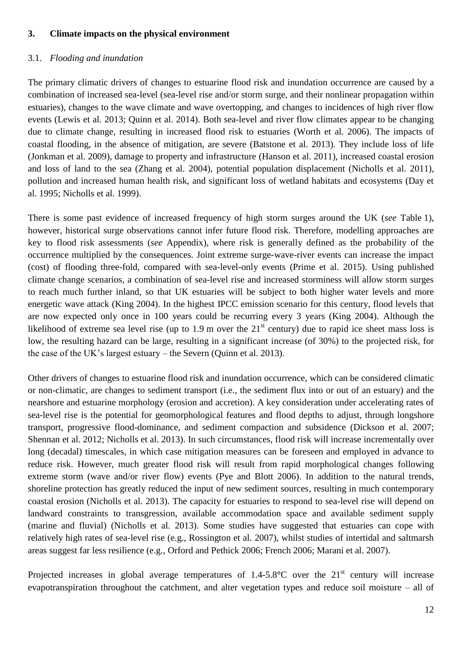# **3. Climate impacts on the physical environment**

### 3.1. *Flooding and inundation*

The primary climatic drivers of changes to estuarine flood risk and inundation occurrence are caused by a combination of increased sea-level (sea-level rise and/or storm surge, and their nonlinear propagation within estuaries), changes to the wave climate and wave overtopping, and changes to incidences of high river flow events (Lewis et al. 2013; Quinn et al. 2014). Both sea-level and river flow climates appear to be changing due to climate change, resulting in increased flood risk to estuaries (Worth et al. 2006). The impacts of coastal flooding, in the absence of mitigation, are severe (Batstone et al. 2013). They include loss of life (Jonkman et al. 2009), damage to property and infrastructure (Hanson et al. 2011), increased coastal erosion and loss of land to the sea (Zhang et al. 2004), potential population displacement (Nicholls et al. 2011), pollution and increased human health risk, and significant loss of wetland habitats and ecosystems (Day et al. 1995; Nicholls et al. 1999).

There is some past evidence of increased frequency of high storm surges around the UK (*see* Table 1), however, historical surge observations cannot infer future flood risk. Therefore, modelling approaches are key to flood risk assessments (*see* Appendix), where risk is generally defined as the probability of the occurrence multiplied by the consequences. Joint extreme surge-wave-river events can increase the impact (cost) of flooding three-fold, compared with sea-level-only events (Prime et al. 2015). Using published climate change scenarios, a combination of sea-level rise and increased storminess will allow storm surges to reach much further inland, so that UK estuaries will be subject to both higher water levels and more energetic wave attack (King 2004). In the highest IPCC emission scenario for this century, flood levels that are now expected only once in 100 years could be recurring every 3 years (King 2004). Although the likelihood of extreme sea level rise (up to 1.9 m over the  $21<sup>st</sup>$  century) due to rapid ice sheet mass loss is low, the resulting hazard can be large, resulting in a significant increase (of 30%) to the projected risk, for the case of the UK's largest estuary – the Severn (Quinn et al. 2013).

Other drivers of changes to estuarine flood risk and inundation occurrence, which can be considered climatic or non-climatic, are changes to sediment transport (i.e., the sediment flux into or out of an estuary) and the nearshore and estuarine morphology (erosion and accretion). A key consideration under accelerating rates of sea-level rise is the potential for geomorphological features and flood depths to adjust, through longshore transport, progressive flood-dominance, and sediment compaction and subsidence (Dickson et al. 2007; Shennan et al. 2012; Nicholls et al. 2013). In such circumstances, flood risk will increase incrementally over long (decadal) timescales, in which case mitigation measures can be foreseen and employed in advance to reduce risk. However, much greater flood risk will result from rapid morphological changes following extreme storm (wave and/or river flow) events (Pye and Blott 2006). In addition to the natural trends, shoreline protection has greatly reduced the input of new sediment sources, resulting in much contemporary coastal erosion (Nicholls et al. 2013). The capacity for estuaries to respond to sea-level rise will depend on landward constraints to transgression, available accommodation space and available sediment supply (marine and fluvial) (Nicholls et al. 2013). Some studies have suggested that estuaries can cope with relatively high rates of sea-level rise (e.g., Rossington et al. 2007), whilst studies of intertidal and saltmarsh areas suggest far less resilience (e.g., Orford and Pethick 2006; French 2006; Marani et al. 2007).

Projected increases in global average temperatures of 1.4-5.8<sup>o</sup>C over the 21<sup>st</sup> century will increase evapotranspiration throughout the catchment, and alter vegetation types and reduce soil moisture – all of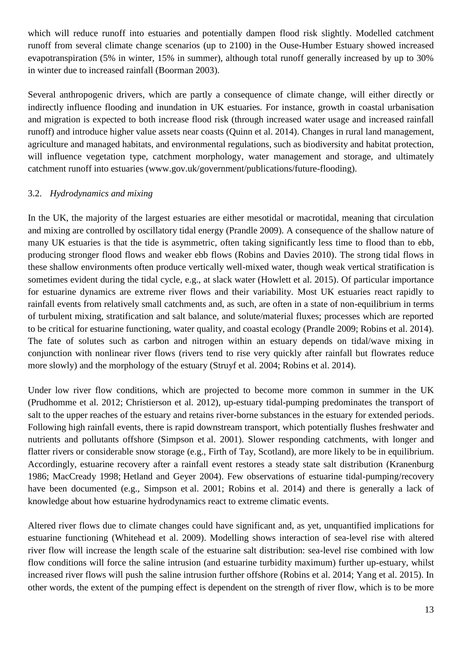which will reduce runoff into estuaries and potentially dampen flood risk slightly. Modelled catchment runoff from several climate change scenarios (up to 2100) in the Ouse-Humber Estuary showed increased evapotranspiration (5% in winter, 15% in summer), although total runoff generally increased by up to 30% in winter due to increased rainfall (Boorman 2003).

Several anthropogenic drivers, which are partly a consequence of climate change, will either directly or indirectly influence flooding and inundation in UK estuaries. For instance, growth in coastal urbanisation and migration is expected to both increase flood risk (through increased water usage and increased rainfall runoff) and introduce higher value assets near coasts (Quinn et al. 2014). Changes in rural land management, agriculture and managed habitats, and environmental regulations, such as biodiversity and habitat protection, will influence vegetation type, catchment morphology, water management and storage, and ultimately catchment runoff into estuaries (www.gov.uk/government/publications/future-flooding).

# 3.2. *Hydrodynamics and mixing*

In the UK, the majority of the largest estuaries are either mesotidal or macrotidal, meaning that circulation and mixing are controlled by oscillatory tidal energy (Prandle 2009). A consequence of the shallow nature of many UK estuaries is that the tide is asymmetric, often taking significantly less time to flood than to ebb, producing stronger flood flows and weaker ebb flows (Robins and Davies 2010). The strong tidal flows in these shallow environments often produce vertically well-mixed water, though weak vertical stratification is sometimes evident during the tidal cycle, e.g., at slack water (Howlett et al. 2015). Of particular importance for estuarine dynamics are extreme river flows and their variability. Most UK estuaries react rapidly to rainfall events from relatively small catchments and, as such, are often in a state of non-equilibrium in terms of turbulent mixing, stratification and salt balance, and solute/material fluxes; processes which are reported to be critical for estuarine functioning, water quality, and coastal ecology (Prandle 2009; Robins et al. 2014). The fate of solutes such as carbon and nitrogen within an estuary depends on tidal/wave mixing in conjunction with nonlinear river flows (rivers tend to rise very quickly after rainfall but flowrates reduce more slowly) and the morphology of the estuary (Struyf et al. 2004; Robins et al. 2014).

Under low river flow conditions, which are projected to become more common in summer in the UK (Prudhomme et al. 2012; Christierson et al. 2012), up-estuary tidal-pumping predominates the transport of salt to the upper reaches of the estuary and retains river-borne substances in the estuary for extended periods. Following high rainfall events, there is rapid downstream transport, which potentially flushes freshwater and nutrients and pollutants offshore (Simpson et al. 2001). Slower responding catchments, with longer and flatter rivers or considerable snow storage (e.g., Firth of Tay, Scotland), are more likely to be in equilibrium. Accordingly, estuarine recovery after a rainfall event restores a steady state salt distribution (Kranenburg 1986; MacCready 1998; Hetland and Geyer 2004). Few observations of estuarine tidal-pumping/recovery have been documented (e.g., Simpson et al. 2001; Robins et al. 2014) and there is generally a lack of knowledge about how estuarine hydrodynamics react to extreme climatic events.

Altered river flows due to climate changes could have significant and, as yet, unquantified implications for estuarine functioning (Whitehead et al. 2009). Modelling shows interaction of sea-level rise with altered river flow will increase the length scale of the estuarine salt distribution: sea-level rise combined with low flow conditions will force the saline intrusion (and estuarine turbidity maximum) further up-estuary, whilst increased river flows will push the saline intrusion further offshore (Robins et al. 2014; Yang et al. 2015). In other words, the extent of the pumping effect is dependent on the strength of river flow, which is to be more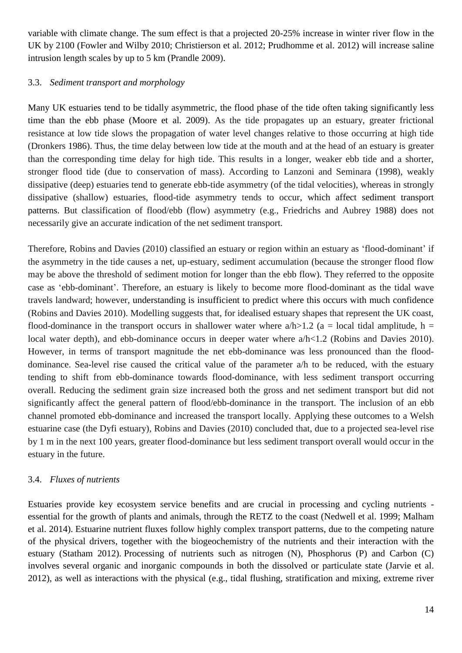variable with climate change. The sum effect is that a projected 20-25% increase in winter river flow in the UK by 2100 (Fowler and Wilby 2010; Christierson et al. 2012; Prudhomme et al. 2012) will increase saline intrusion length scales by up to 5 km (Prandle 2009).

# 3.3. *Sediment transport and morphology*

Many UK estuaries tend to be tidally asymmetric, the flood phase of the tide often taking significantly less time than the ebb phase (Moore et al. 2009). As the tide propagates up an estuary, greater frictional resistance at low tide slows the propagation of water level changes relative to those occurring at high tide (Dronkers 1986). Thus, the time delay between low tide at the mouth and at the head of an estuary is greater than the corresponding time delay for high tide. This results in a longer, weaker ebb tide and a shorter, stronger flood tide (due to conservation of mass). According to Lanzoni and Seminara (1998), weakly dissipative (deep) estuaries tend to generate ebb-tide asymmetry (of the tidal velocities), whereas in strongly dissipative (shallow) estuaries, flood-tide asymmetry tends to occur, which affect sediment transport patterns. But classification of flood/ebb (flow) asymmetry (e.g., Friedrichs and Aubrey 1988) does not necessarily give an accurate indication of the net sediment transport.

Therefore, Robins and Davies (2010) classified an estuary or region within an estuary as 'flood-dominant' if the asymmetry in the tide causes a net, up-estuary, sediment accumulation (because the stronger flood flow may be above the threshold of sediment motion for longer than the ebb flow). They referred to the opposite case as 'ebb-dominant'. Therefore, an estuary is likely to become more flood-dominant as the tidal wave travels landward; however, understanding is insufficient to predict where this occurs with much confidence (Robins and Davies 2010). Modelling suggests that, for idealised estuary shapes that represent the UK coast, flood-dominance in the transport occurs in shallower water where  $a/h > 1.2$  (a = local tidal amplitude, h = local water depth), and ebb-dominance occurs in deeper water where  $a/h < 1.2$  (Robins and Davies 2010). However, in terms of transport magnitude the net ebb-dominance was less pronounced than the flooddominance. Sea-level rise caused the critical value of the parameter a/h to be reduced, with the estuary tending to shift from ebb-dominance towards flood-dominance, with less sediment transport occurring overall. Reducing the sediment grain size increased both the gross and net sediment transport but did not significantly affect the general pattern of flood/ebb-dominance in the transport. The inclusion of an ebb channel promoted ebb-dominance and increased the transport locally. Applying these outcomes to a Welsh estuarine case (the Dyfi estuary), Robins and Davies (2010) concluded that, due to a projected sea-level rise by 1 m in the next 100 years, greater flood-dominance but less sediment transport overall would occur in the estuary in the future.

# 3.4. *Fluxes of nutrients*

Estuaries provide key ecosystem service benefits and are crucial in processing and cycling nutrients essential for the growth of plants and animals, through the RETZ to the coast (Nedwell et al. 1999; Malham et al. 2014). Estuarine nutrient fluxes follow highly complex transport patterns, due to the competing nature of the physical drivers, together with the biogeochemistry of the nutrients and their interaction with the estuary (Statham 2012). Processing of nutrients such as nitrogen (N), Phosphorus (P) and Carbon (C) involves several organic and inorganic compounds in both the dissolved or particulate state (Jarvie et al. 2012), as well as interactions with the physical (e.g., tidal flushing, stratification and mixing, extreme river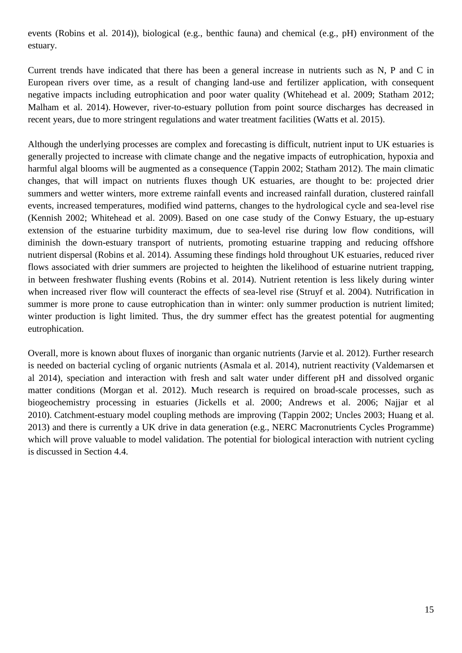events (Robins et al. 2014)), biological (e.g., benthic fauna) and chemical (e.g., pH) environment of the estuary.

Current trends have indicated that there has been a general increase in nutrients such as N, P and C in European rivers over time, as a result of changing land-use and fertilizer application, with consequent negative impacts including eutrophication and poor water quality (Whitehead et al. 2009; Statham 2012; Malham et al. 2014). However, river-to-estuary pollution from point source discharges has decreased in recent years, due to more stringent regulations and water treatment facilities (Watts et al. 2015).

Although the underlying processes are complex and forecasting is difficult, nutrient input to UK estuaries is generally projected to increase with climate change and the negative impacts of eutrophication, hypoxia and harmful algal blooms will be augmented as a consequence (Tappin 2002; Statham 2012). The main climatic changes, that will impact on nutrients fluxes though UK estuaries, are thought to be: projected drier summers and wetter winters, more extreme rainfall events and increased rainfall duration, clustered rainfall events, increased temperatures, modified wind patterns, changes to the hydrological cycle and sea-level rise (Kennish 2002; Whitehead et al. 2009). Based on one case study of the Conwy Estuary, the up-estuary extension of the estuarine turbidity maximum, due to sea-level rise during low flow conditions, will diminish the down-estuary transport of nutrients, promoting estuarine trapping and reducing offshore nutrient dispersal (Robins et al. 2014). Assuming these findings hold throughout UK estuaries, reduced river flows associated with drier summers are projected to heighten the likelihood of estuarine nutrient trapping, in between freshwater flushing events (Robins et al. 2014). Nutrient retention is less likely during winter when increased river flow will counteract the effects of sea-level rise (Struyf et al. 2004). Nutrification in summer is more prone to cause eutrophication than in winter: only summer production is nutrient limited; winter production is light limited. Thus, the dry summer effect has the greatest potential for augmenting eutrophication.

Overall, more is known about fluxes of inorganic than organic nutrients (Jarvie et al. 2012). Further research is needed on bacterial cycling of organic nutrients (Asmala et al. 2014), nutrient reactivity (Valdemarsen et al 2014), speciation and interaction with fresh and salt water under different pH and dissolved organic matter conditions (Morgan et al. 2012). Much research is required on broad-scale processes, such as biogeochemistry processing in estuaries (Jickells et al. 2000; Andrews et al. 2006; Najjar et al 2010). Catchment-estuary model coupling methods are improving (Tappin 2002; Uncles 2003; Huang et al. 2013) and there is currently a UK drive in data generation (e.g., NERC Macronutrients Cycles Programme) which will prove valuable to model validation. The potential for biological interaction with nutrient cycling is discussed in Section 4.4.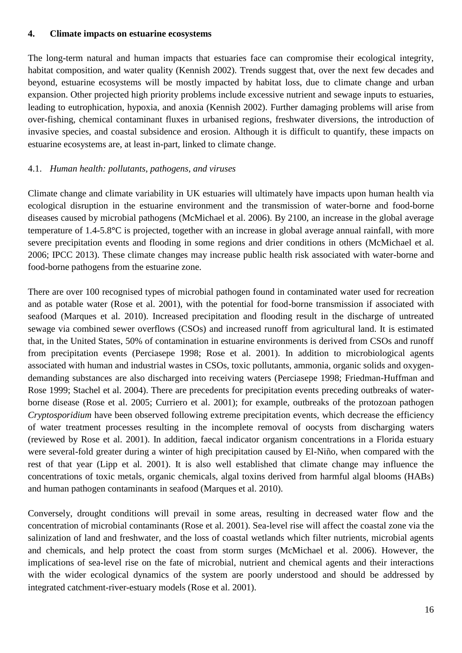### **4. Climate impacts on estuarine ecosystems**

The long-term natural and human impacts that estuaries face can compromise their ecological integrity, habitat composition, and water quality (Kennish 2002). Trends suggest that, over the next few decades and beyond, estuarine ecosystems will be mostly impacted by habitat loss, due to climate change and urban expansion. Other projected high priority problems include excessive nutrient and sewage inputs to estuaries, leading to eutrophication, hypoxia, and anoxia (Kennish 2002). Further damaging problems will arise from over-fishing, chemical contaminant fluxes in urbanised regions, freshwater diversions, the introduction of invasive species, and coastal subsidence and erosion. Although it is difficult to quantify, these impacts on estuarine ecosystems are, at least in-part, linked to climate change.

# 4.1. *Human health: pollutants, pathogens, and viruses*

Climate change and climate variability in UK estuaries will ultimately have impacts upon human health via ecological disruption in the estuarine environment and the transmission of water-borne and food-borne diseases caused by microbial pathogens (McMichael et al. 2006). By 2100, an increase in the global average temperature of 1.4-5.8**°**C is projected, together with an increase in global average annual rainfall, with more severe precipitation events and flooding in some regions and drier conditions in others (McMichael et al. 2006; IPCC 2013). These climate changes may increase public health risk associated with water-borne and food-borne pathogens from the estuarine zone.

There are over 100 recognised types of microbial pathogen found in contaminated water used for recreation and as potable water (Rose et al. 2001), with the potential for food-borne transmission if associated with seafood (Marques et al. 2010). Increased precipitation and flooding result in the discharge of untreated sewage via combined sewer overflows (CSOs) and increased runoff from agricultural land. It is estimated that, in the United States, 50% of contamination in estuarine environments is derived from CSOs and runoff from precipitation events (Perciasepe 1998; Rose et al. 2001). In addition to microbiological agents associated with human and industrial wastes in CSOs, toxic pollutants, ammonia, organic solids and oxygendemanding substances are also discharged into receiving waters (Perciasepe 1998; Friedman-Huffman and Rose 1999; Stachel et al. 2004). There are precedents for precipitation events preceding outbreaks of waterborne disease (Rose et al. 2005; Curriero et al. 2001); for example, outbreaks of the protozoan pathogen *Cryptosporidium* have been observed following extreme precipitation events, which decrease the efficiency of water treatment processes resulting in the incomplete removal of oocysts from discharging waters (reviewed by Rose et al. 2001). In addition, faecal indicator organism concentrations in a Florida estuary were several-fold greater during a winter of high precipitation caused by El-Niño, when compared with the rest of that year (Lipp et al. 2001). It is also well established that climate change may influence the concentrations of toxic metals, organic chemicals, algal toxins derived from harmful algal blooms (HABs) and human pathogen contaminants in seafood (Marques et al. 2010).

Conversely, drought conditions will prevail in some areas, resulting in decreased water flow and the concentration of microbial contaminants (Rose et al. 2001). Sea-level rise will affect the coastal zone via the salinization of land and freshwater, and the loss of coastal wetlands which filter nutrients, microbial agents and chemicals, and help protect the coast from storm surges (McMichael et al. 2006). However, the implications of sea-level rise on the fate of microbial, nutrient and chemical agents and their interactions with the wider ecological dynamics of the system are poorly understood and should be addressed by integrated catchment-river-estuary models (Rose et al. 2001).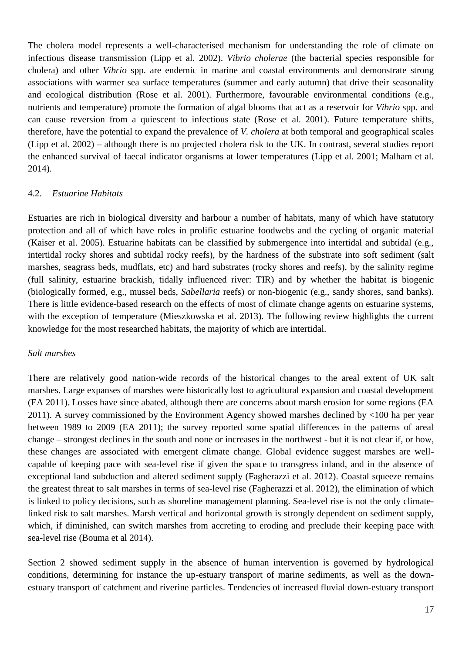The cholera model represents a well-characterised mechanism for understanding the role of climate on infectious disease transmission (Lipp et al. 2002). *Vibrio cholerae* (the bacterial species responsible for cholera) and other *Vibrio* spp. are endemic in marine and coastal environments and demonstrate strong associations with warmer sea surface temperatures (summer and early autumn) that drive their seasonality and ecological distribution (Rose et al. 2001). Furthermore, favourable environmental conditions (e.g., nutrients and temperature) promote the formation of algal blooms that act as a reservoir for *Vibrio* spp. and can cause reversion from a quiescent to infectious state (Rose et al. 2001). Future temperature shifts, therefore, have the potential to expand the prevalence of *V. cholera* at both temporal and geographical scales (Lipp et al. 2002) – although there is no projected cholera risk to the UK. In contrast, several studies report the enhanced survival of faecal indicator organisms at lower temperatures (Lipp et al. 2001; Malham et al. 2014).

### 4.2. *Estuarine Habitats*

Estuaries are rich in biological diversity and harbour a number of habitats, many of which have statutory protection and all of which have roles in prolific estuarine foodwebs and the cycling of organic material (Kaiser et al. 2005). Estuarine habitats can be classified by submergence into intertidal and subtidal (e.g., intertidal rocky shores and subtidal rocky reefs), by the hardness of the substrate into soft sediment (salt marshes, seagrass beds, mudflats, etc) and hard substrates (rocky shores and reefs), by the salinity regime (full salinity, estuarine brackish, tidally influenced river: TIR) and by whether the habitat is biogenic (biologically formed, e.g., mussel beds, *Sabellaria* reefs) or non-biogenic (e.g., sandy shores, sand banks). There is little evidence-based research on the effects of most of climate change agents on estuarine systems, with the exception of temperature (Mieszkowska et al. 2013). The following review highlights the current knowledge for the most researched habitats, the majority of which are intertidal.

#### *Salt marshes*

There are relatively good nation-wide records of the historical changes to the areal extent of UK salt marshes. Large expanses of marshes were historically lost to agricultural expansion and coastal development (EA 2011). Losses have since abated, although there are concerns about marsh erosion for some regions (EA 2011). A survey commissioned by the Environment Agency showed marshes declined by <100 ha per year between 1989 to 2009 (EA 2011); the survey reported some spatial differences in the patterns of areal change – strongest declines in the south and none or increases in the northwest - but it is not clear if, or how, these changes are associated with emergent climate change. Global evidence suggest marshes are wellcapable of keeping pace with sea-level rise if given the space to transgress inland, and in the absence of exceptional land subduction and altered sediment supply (Fagherazzi et al. 2012). Coastal squeeze remains the greatest threat to salt marshes in terms of sea-level rise (Fagherazzi et al. 2012), the elimination of which is linked to policy decisions, such as shoreline management planning. Sea-level rise is not the only climatelinked risk to salt marshes. Marsh vertical and horizontal growth is strongly dependent on sediment supply, which, if diminished, can switch marshes from accreting to eroding and preclude their keeping pace with sea-level rise (Bouma et al 2014).

Section 2 showed sediment supply in the absence of human intervention is governed by hydrological conditions, determining for instance the up-estuary transport of marine sediments, as well as the downestuary transport of catchment and riverine particles. Tendencies of increased fluvial down-estuary transport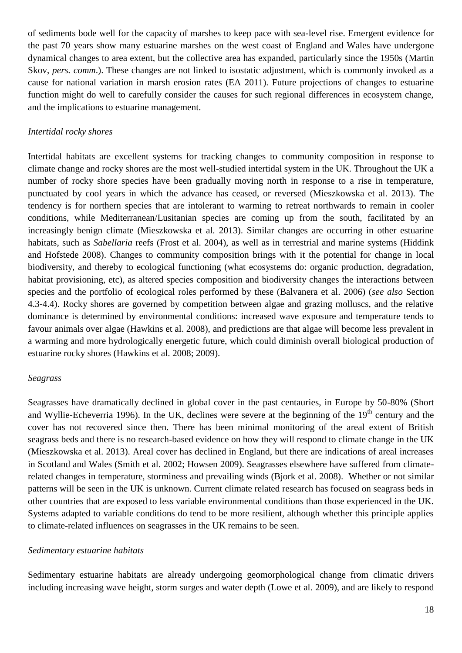of sediments bode well for the capacity of marshes to keep pace with sea-level rise. Emergent evidence for the past 70 years show many estuarine marshes on the west coast of England and Wales have undergone dynamical changes to area extent, but the collective area has expanded, particularly since the 1950s (Martin Skov, *pers. comm.*). These changes are not linked to isostatic adjustment, which is commonly invoked as a cause for national variation in marsh erosion rates (EA 2011). Future projections of changes to estuarine function might do well to carefully consider the causes for such regional differences in ecosystem change, and the implications to estuarine management.

# *Intertidal rocky shores*

Intertidal habitats are excellent systems for tracking changes to community composition in response to climate change and rocky shores are the most well-studied intertidal system in the UK. Throughout the UK a number of rocky shore species have been gradually moving north in response to a rise in temperature, punctuated by cool years in which the advance has ceased, or reversed (Mieszkowska et al. 2013). The tendency is for northern species that are intolerant to warming to retreat northwards to remain in cooler conditions, while Mediterranean/Lusitanian species are coming up from the south, facilitated by an increasingly benign climate (Mieszkowska et al. 2013). Similar changes are occurring in other estuarine habitats, such as *Sabellaria* reefs (Frost et al. 2004), as well as in terrestrial and marine systems (Hiddink and Hofstede 2008). Changes to community composition brings with it the potential for change in local biodiversity, and thereby to ecological functioning (what ecosystems do: organic production, degradation, habitat provisioning, etc), as altered species composition and biodiversity changes the interactions between species and the portfolio of ecological roles performed by these (Balvanera et al. 2006) (*see also* Section 4.3-4.4). Rocky shores are governed by competition between algae and grazing molluscs, and the relative dominance is determined by environmental conditions: increased wave exposure and temperature tends to favour animals over algae (Hawkins et al. 2008), and predictions are that algae will become less prevalent in a warming and more hydrologically energetic future, which could diminish overall biological production of estuarine rocky shores (Hawkins et al. 2008; 2009).

#### *Seagrass*

Seagrasses have dramatically declined in global cover in the past centauries, in Europe by 50-80% (Short and Wyllie-Echeverria 1996). In the UK, declines were severe at the beginning of the 19<sup>th</sup> century and the cover has not recovered since then. There has been minimal monitoring of the areal extent of British seagrass beds and there is no research-based evidence on how they will respond to climate change in the UK (Mieszkowska et al. 2013). Areal cover has declined in England, but there are indications of areal increases in Scotland and Wales (Smith et al. 2002; Howsen 2009). Seagrasses elsewhere have suffered from climaterelated changes in temperature, storminess and prevailing winds (Bjork et al. 2008). Whether or not similar patterns will be seen in the UK is unknown. Current climate related research has focused on seagrass beds in other countries that are exposed to less variable environmental conditions than those experienced in the UK. Systems adapted to variable conditions do tend to be more resilient, although whether this principle applies to climate-related influences on seagrasses in the UK remains to be seen.

#### *Sedimentary estuarine habitats*

Sedimentary estuarine habitats are already undergoing geomorphological change from climatic drivers including increasing wave height, storm surges and water depth (Lowe et al. 2009), and are likely to respond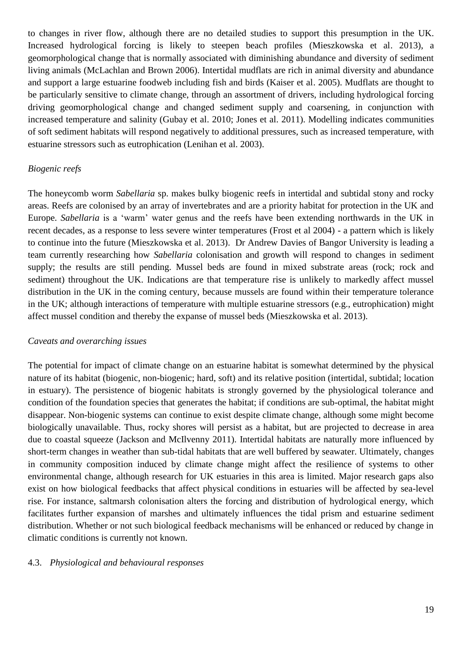to changes in river flow, although there are no detailed studies to support this presumption in the UK. Increased hydrological forcing is likely to steepen beach profiles (Mieszkowska et al. 2013), a geomorphological change that is normally associated with diminishing abundance and diversity of sediment living animals (McLachlan and Brown 2006). Intertidal mudflats are rich in animal diversity and abundance and support a large estuarine foodweb including fish and birds (Kaiser et al. 2005). Mudflats are thought to be particularly sensitive to climate change, through an assortment of drivers, including hydrological forcing driving geomorphological change and changed sediment supply and coarsening, in conjunction with increased temperature and salinity (Gubay et al. 2010; Jones et al. 2011). Modelling indicates communities of soft sediment habitats will respond negatively to additional pressures, such as increased temperature, with estuarine stressors such as eutrophication (Lenihan et al. 2003).

### *Biogenic reefs*

The honeycomb worm *Sabellaria* sp. makes bulky biogenic reefs in intertidal and subtidal stony and rocky areas. Reefs are colonised by an array of invertebrates and are a priority habitat for protection in the UK and Europe. *Sabellaria* is a 'warm' water genus and the reefs have been extending northwards in the UK in recent decades, as a response to less severe winter temperatures (Frost et al 2004) - a pattern which is likely to continue into the future (Mieszkowska et al. 2013). Dr Andrew Davies of Bangor University is leading a team currently researching how *Sabellaria* colonisation and growth will respond to changes in sediment supply; the results are still pending. Mussel beds are found in mixed substrate areas (rock; rock and sediment) throughout the UK. Indications are that temperature rise is unlikely to markedly affect mussel distribution in the UK in the coming century, because mussels are found within their temperature tolerance in the UK; although interactions of temperature with multiple estuarine stressors (e.g., eutrophication) might affect mussel condition and thereby the expanse of mussel beds (Mieszkowska et al. 2013).

#### *Caveats and overarching issues*

The potential for impact of climate change on an estuarine habitat is somewhat determined by the physical nature of its habitat (biogenic, non-biogenic; hard, soft) and its relative position (intertidal, subtidal; location in estuary). The persistence of biogenic habitats is strongly governed by the physiological tolerance and condition of the foundation species that generates the habitat; if conditions are sub-optimal, the habitat might disappear. Non-biogenic systems can continue to exist despite climate change, although some might become biologically unavailable. Thus, rocky shores will persist as a habitat, but are projected to decrease in area due to coastal squeeze (Jackson and McIlvenny 2011). Intertidal habitats are naturally more influenced by short-term changes in weather than sub-tidal habitats that are well buffered by seawater. Ultimately, changes in community composition induced by climate change might affect the resilience of systems to other environmental change, although research for UK estuaries in this area is limited. Major research gaps also exist on how biological feedbacks that affect physical conditions in estuaries will be affected by sea-level rise. For instance, saltmarsh colonisation alters the forcing and distribution of hydrological energy, which facilitates further expansion of marshes and ultimately influences the tidal prism and estuarine sediment distribution. Whether or not such biological feedback mechanisms will be enhanced or reduced by change in climatic conditions is currently not known.

#### 4.3. *Physiological and behavioural responses*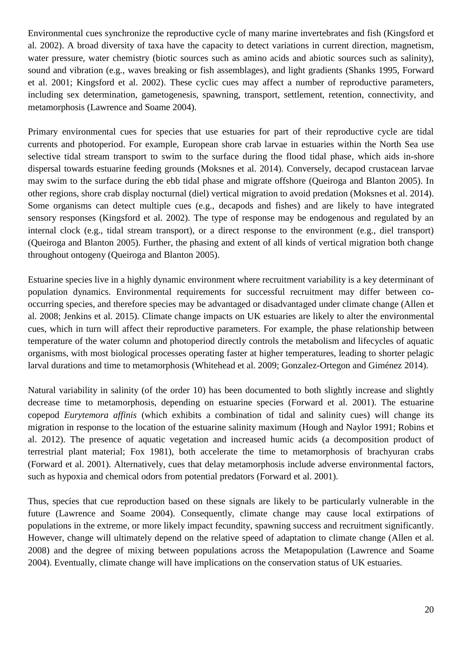Environmental cues synchronize the reproductive cycle of many marine invertebrates and fish (Kingsford et al. 2002). A broad diversity of taxa have the capacity to detect variations in current direction, magnetism, water pressure, water chemistry (biotic sources such as amino acids and abiotic sources such as salinity), sound and vibration (e.g., waves breaking or fish assemblages), and light gradients (Shanks 1995, Forward et al. 2001; Kingsford et al. 2002). These cyclic cues may affect a number of reproductive parameters, including sex determination, gametogenesis, spawning, transport, settlement, retention, connectivity, and metamorphosis (Lawrence and Soame 2004).

Primary environmental cues for species that use estuaries for part of their reproductive cycle are tidal currents and photoperiod. For example, European shore crab larvae in estuaries within the North Sea use selective tidal stream transport to swim to the surface during the flood tidal phase, which aids in-shore dispersal towards estuarine feeding grounds (Moksnes et al. 2014). Conversely, decapod crustacean larvae may swim to the surface during the ebb tidal phase and migrate offshore (Queiroga and Blanton 2005). In other regions, shore crab display nocturnal (diel) vertical migration to avoid predation (Moksnes et al. 2014). Some organisms can detect multiple cues (e.g., decapods and fishes) and are likely to have integrated sensory responses (Kingsford et al. 2002). The type of response may be endogenous and regulated by an internal clock (e.g., tidal stream transport), or a direct response to the environment (e.g., diel transport) (Queiroga and Blanton 2005). Further, the phasing and extent of all kinds of vertical migration both change throughout ontogeny (Queiroga and Blanton 2005).

Estuarine species live in a highly dynamic environment where recruitment variability is a key determinant of population dynamics. Environmental requirements for successful recruitment may differ between cooccurring species, and therefore species may be advantaged or disadvantaged under climate change (Allen et al. 2008; Jenkins et al. 2015). Climate change impacts on UK estuaries are likely to alter the environmental cues, which in turn will affect their reproductive parameters. For example, the phase relationship between temperature of the water column and photoperiod directly controls the metabolism and lifecycles of aquatic organisms, with most biological processes operating faster at higher temperatures, leading to shorter pelagic larval durations and time to metamorphosis (Whitehead et al. 2009; Gonzalez-Ortegon and Giménez 2014).

Natural variability in salinity (of the order 10) has been documented to both slightly increase and slightly decrease time to metamorphosis, depending on estuarine species (Forward et al. 2001). The estuarine copepod *Eurytemora affinis* (which exhibits a combination of tidal and salinity cues) will change its migration in response to the location of the estuarine salinity maximum (Hough and Naylor 1991; Robins et al. 2012). The presence of aquatic vegetation and increased humic acids (a decomposition product of terrestrial plant material; Fox 1981), both accelerate the time to metamorphosis of brachyuran crabs (Forward et al. 2001). Alternatively, cues that delay metamorphosis include adverse environmental factors, such as hypoxia and chemical odors from potential predators (Forward et al. 2001).

Thus, species that cue reproduction based on these signals are likely to be particularly vulnerable in the future (Lawrence and Soame 2004). Consequently, climate change may cause local extirpations of populations in the extreme, or more likely impact fecundity, spawning success and recruitment significantly. However, change will ultimately depend on the relative speed of adaptation to climate change (Allen et al. 2008) and the degree of mixing between populations across the Metapopulation (Lawrence and Soame 2004). Eventually, climate change will have implications on the conservation status of UK estuaries.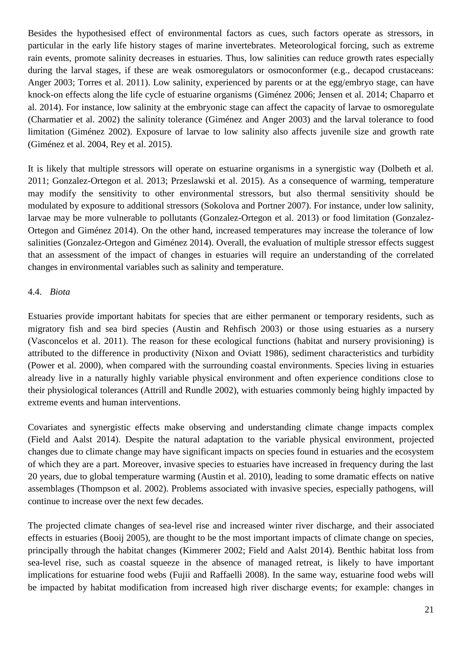Besides the hypothesised effect of environmental factors as cues, such factors operate as stressors, in particular in the early life history stages of marine invertebrates. Meteorological forcing, such as extreme rain events, promote salinity decreases in estuaries. Thus, low salinities can reduce growth rates especially during the larval stages, if these are weak osmoregulators or osmoconformer (e.g., decapod crustaceans: Anger 2003; Torres et al. 2011). Low salinity, experienced by parents or at the egg/embryo stage, can have knock-on effects along the life cycle of estuarine organisms (Giménez 2006; Jensen et al. 2014; Chaparro et al. 2014). For instance, low salinity at the embryonic stage can affect the capacity of larvae to osmoregulate (Charmatier et al. 2002) the salinity tolerance (Giménez and Anger 2003) and the larval tolerance to food limitation (Giménez 2002). Exposure of larvae to low salinity also affects juvenile size and growth rate (Giménez et al. 2004, Rey et al. 2015).

It is likely that multiple stressors will operate on estuarine organisms in a synergistic way (Dolbeth et al. 2011; Gonzalez-Ortegon et al. 2013; Przeslawski et al. 2015). As a consequence of warming, temperature may modify the sensitivity to other environmental stressors, but also thermal sensitivity should be modulated by exposure to additional stressors (Sokolova and Portner 2007). For instance, under low salinity, larvae may be more vulnerable to pollutants (Gonzalez-Ortegon et al. 2013) or food limitation (Gonzalez-Ortegon and Giménez 2014). On the other hand, increased temperatures may increase the tolerance of low salinities (Gonzalez-Ortegon and Giménez 2014). Overall, the evaluation of multiple stressor effects suggest that an assessment of the impact of changes in estuaries will require an understanding of the correlated changes in environmental variables such as salinity and temperature.

### 4.4. *Biota*

Estuaries provide important habitats for species that are either permanent or temporary residents, such as migratory fish and sea bird species (Austin and Rehfisch 2003) or those using estuaries as a nursery (Vasconcelos et al. 2011). The reason for these ecological functions (habitat and nursery provisioning) is attributed to the difference in productivity (Nixon and Oviatt 1986), sediment characteristics and turbidity (Power et al. 2000), when compared with the surrounding coastal environments. Species living in estuaries already live in a naturally highly variable physical environment and often experience conditions close to their physiological tolerances (Attrill and Rundle 2002), with estuaries commonly being highly impacted by extreme events and human interventions.

Covariates and synergistic effects make observing and understanding climate change impacts complex (Field and Aalst 2014). Despite the natural adaptation to the variable physical environment, projected changes due to climate change may have significant impacts on species found in estuaries and the ecosystem of which they are a part. Moreover, invasive species to estuaries have increased in frequency during the last 20 years, due to global temperature warming (Austin et al. 2010), leading to some dramatic effects on native assemblages (Thompson et al. 2002). Problems associated with invasive species, especially pathogens, will continue to increase over the next few decades.

The projected climate changes of sea-level rise and increased winter river discharge, and their associated effects in estuaries (Booij 2005), are thought to be the most important impacts of climate change on species, principally through the habitat changes (Kimmerer 2002; Field and Aalst 2014). Benthic habitat loss from sea-level rise, such as coastal squeeze in the absence of managed retreat, is likely to have important implications for estuarine food webs (Fujii and Raffaelli 2008). In the same way, estuarine food webs will be impacted by habitat modification from increased high river discharge events; for example: changes in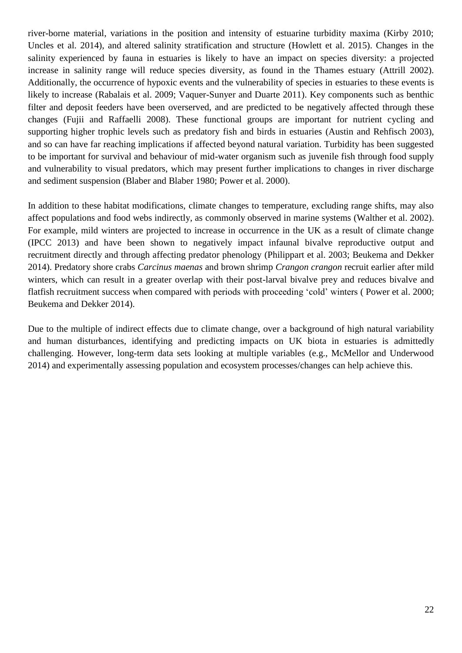river-borne material, variations in the position and intensity of estuarine turbidity maxima (Kirby 2010; Uncles et al. 2014), and altered salinity stratification and structure (Howlett et al. 2015). Changes in the salinity experienced by fauna in estuaries is likely to have an impact on species diversity: a projected increase in salinity range will reduce species diversity, as found in the Thames estuary (Attrill 2002). Additionally, the occurrence of hypoxic events and the vulnerability of species in estuaries to these events is likely to increase (Rabalais et al. 2009; Vaquer-Sunyer and Duarte 2011). Key components such as benthic filter and deposit feeders have been overserved, and are predicted to be negatively affected through these changes (Fujii and Raffaelli 2008). These functional groups are important for nutrient cycling and supporting higher trophic levels such as predatory fish and birds in estuaries (Austin and Rehfisch 2003), and so can have far reaching implications if affected beyond natural variation. Turbidity has been suggested to be important for survival and behaviour of mid-water organism such as juvenile fish through food supply and vulnerability to visual predators, which may present further implications to changes in river discharge and sediment suspension (Blaber and Blaber 1980; Power et al. 2000).

In addition to these habitat modifications, climate changes to temperature, excluding range shifts, may also affect populations and food webs indirectly, as commonly observed in marine systems (Walther et al. 2002). For example, mild winters are projected to increase in occurrence in the UK as a result of climate change (IPCC 2013) and have been shown to negatively impact infaunal bivalve reproductive output and recruitment directly and through affecting predator phenology (Philippart et al. 2003; Beukema and Dekker 2014). Predatory shore crabs *Carcinus maenas* and brown shrimp *Crangon crangon* recruit earlier after mild winters, which can result in a greater overlap with their post-larval bivalve prey and reduces bivalve and flatfish recruitment success when compared with periods with proceeding 'cold' winters ( Power et al. 2000; Beukema and Dekker 2014).

Due to the multiple of indirect effects due to climate change, over a background of high natural variability and human disturbances, identifying and predicting impacts on UK biota in estuaries is admittedly challenging. However, long-term data sets looking at multiple variables (e.g., McMellor and Underwood 2014) and experimentally assessing population and ecosystem processes/changes can help achieve this.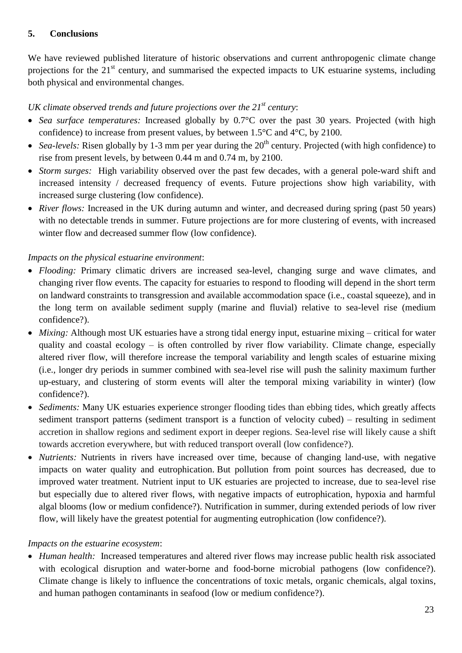# **5. Conclusions**

We have reviewed published literature of historic observations and current anthropogenic climate change projections for the  $21<sup>st</sup>$  century, and summarised the expected impacts to UK estuarine systems, including both physical and environmental changes.

# *UK climate observed trends and future projections over the 21st century*:

- *Sea surface temperatures:* Increased globally by 0.7°C over the past 30 years. Projected (with high confidence) to increase from present values, by between 1.5°C and 4°C, by 2100.
- Sea-levels: Risen globally by 1-3 mm per year during the  $20<sup>th</sup>$  century. Projected (with high confidence) to rise from present levels, by between 0.44 m and 0.74 m, by 2100.
- *Storm surges:* High variability observed over the past few decades, with a general pole-ward shift and increased intensity / decreased frequency of events. Future projections show high variability, with increased surge clustering (low confidence).
- *River flows:* Increased in the UK during autumn and winter, and decreased during spring (past 50 years) with no detectable trends in summer. Future projections are for more clustering of events, with increased winter flow and decreased summer flow (low confidence).

# *Impacts on the physical estuarine environment*:

- *Flooding:* Primary climatic drivers are increased sea-level, changing surge and wave climates, and changing river flow events. The capacity for estuaries to respond to flooding will depend in the short term on landward constraints to transgression and available accommodation space (i.e., coastal squeeze), and in the long term on available sediment supply (marine and fluvial) relative to sea-level rise (medium confidence?).
- *Mixing:* Although most UK estuaries have a strong tidal energy input, estuarine mixing critical for water quality and coastal ecology  $-$  is often controlled by river flow variability. Climate change, especially altered river flow, will therefore increase the temporal variability and length scales of estuarine mixing (i.e., longer dry periods in summer combined with sea-level rise will push the salinity maximum further up-estuary, and clustering of storm events will alter the temporal mixing variability in winter) (low confidence?).
- *Sediments:* Many UK estuaries experience stronger flooding tides than ebbing tides, which greatly affects sediment transport patterns (sediment transport is a function of velocity cubed) – resulting in sediment accretion in shallow regions and sediment export in deeper regions. Sea-level rise will likely cause a shift towards accretion everywhere, but with reduced transport overall (low confidence?).
- *Nutrients:* Nutrients in rivers have increased over time, because of changing land-use, with negative impacts on water quality and eutrophication. But pollution from point sources has decreased, due to improved water treatment. Nutrient input to UK estuaries are projected to increase, due to sea-level rise but especially due to altered river flows, with negative impacts of eutrophication, hypoxia and harmful algal blooms (low or medium confidence?). Nutrification in summer, during extended periods of low river flow, will likely have the greatest potential for augmenting eutrophication (low confidence?).

# *Impacts on the estuarine ecosystem*:

 *Human health:* Increased temperatures and altered river flows may increase public health risk associated with ecological disruption and water-borne and food-borne microbial pathogens (low confidence?). Climate change is likely to influence the concentrations of toxic metals, organic chemicals, algal toxins, and human pathogen contaminants in seafood (low or medium confidence?).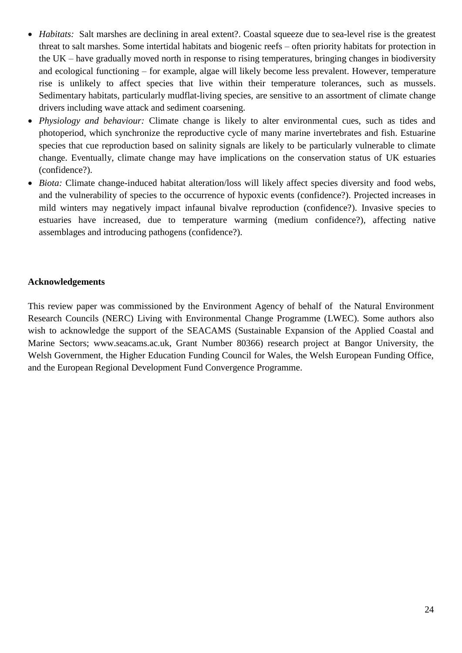- *Habitats:* Salt marshes are declining in areal extent?. Coastal squeeze due to sea-level rise is the greatest threat to salt marshes. Some intertidal habitats and biogenic reefs – often priority habitats for protection in the UK – have gradually moved north in response to rising temperatures, bringing changes in biodiversity and ecological functioning – for example, algae will likely become less prevalent. However, temperature rise is unlikely to affect species that live within their temperature tolerances, such as mussels. Sedimentary habitats, particularly mudflat-living species, are sensitive to an assortment of climate change drivers including wave attack and sediment coarsening.
- *Physiology and behaviour:* Climate change is likely to alter environmental cues, such as tides and photoperiod, which synchronize the reproductive cycle of many marine invertebrates and fish. Estuarine species that cue reproduction based on salinity signals are likely to be particularly vulnerable to climate change. Eventually, climate change may have implications on the conservation status of UK estuaries (confidence?).
- *Biota:* Climate change-induced habitat alteration/loss will likely affect species diversity and food webs, and the vulnerability of species to the occurrence of hypoxic events (confidence?). Projected increases in mild winters may negatively impact infaunal bivalve reproduction (confidence?). Invasive species to estuaries have increased, due to temperature warming (medium confidence?), affecting native assemblages and introducing pathogens (confidence?).

# **Acknowledgements**

This review paper was commissioned by the Environment Agency of behalf of the Natural Environment Research Councils (NERC) Living with Environmental Change Programme (LWEC). Some authors also wish to acknowledge the support of the SEACAMS (Sustainable Expansion of the Applied Coastal and Marine Sectors; www.seacams.ac.uk, Grant Number 80366) research project at Bangor University, the Welsh Government, the Higher Education Funding Council for Wales, the Welsh European Funding Office, and the European Regional Development Fund Convergence Programme.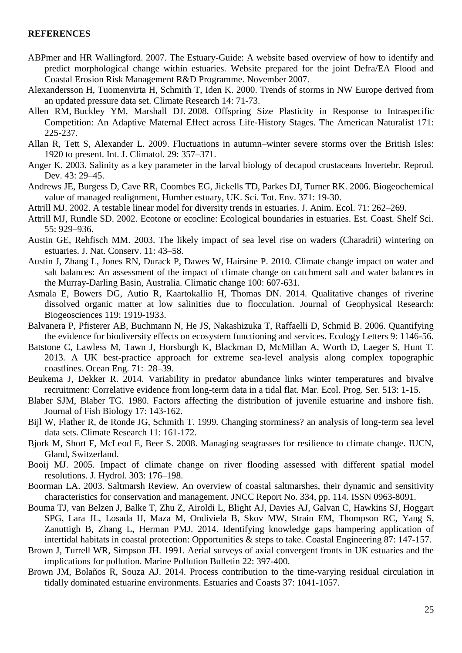#### **REFERENCES**

- ABPmer and HR Wallingford. 2007. The Estuary-Guide: A website based overview of how to identify and predict morphological change within estuaries. Website prepared for the joint Defra/EA Flood and Coastal Erosion Risk Management R&D Programme. November 2007.
- Alexandersson H, Tuomenvirta H, Schmith T, Iden K. 2000. Trends of storms in NW Europe derived from an updated pressure data set. Climate Research 14: 71-73.
- Allen RM, Buckley YM, Marshall DJ. 2008. Offspring Size Plasticity in Response to Intraspecific Competition: An Adaptive Maternal Effect across Life‐History Stages. The American Naturalist 171: 225-237.
- Allan R, Tett S, Alexander L. 2009. Fluctuations in autumn–winter severe storms over the British Isles: 1920 to present. Int. J. Climatol. 29: 357–371.
- Anger K. 2003. Salinity as a key parameter in the larval biology of decapod crustaceans Invertebr. Reprod. Dev. 43: 29–45.
- Andrews JE, Burgess D, Cave RR, Coombes EG, Jickells TD, Parkes DJ, Turner RK. 2006. Biogeochemical value of managed realignment, Humber estuary, UK. Sci. Tot. Env. 371: 19-30.
- Attrill MJ. 2002. A testable linear model for diversity trends in estuaries. J. Anim. Ecol. 71: 262–269.
- Attrill MJ, Rundle SD. 2002. Ecotone or ecocline: Ecological boundaries in estuaries. Est. Coast. Shelf Sci. 55: 929–936.
- Austin GE, Rehfisch MM. 2003. The likely impact of sea level rise on waders (Charadrii) wintering on estuaries. J. Nat. Conserv. 11: 43–58.
- Austin J, Zhang L, Jones RN, Durack P, Dawes W, Hairsine P. 2010. Climate change impact on water and salt balances: An assessment of the impact of climate change on catchment salt and water balances in the Murray-Darling Basin, Australia. Climatic change 100: 607-631.
- Asmala E, Bowers DG, Autio R, Kaartokallio H, Thomas DN. 2014. Qualitative changes of riverine dissolved organic matter at low salinities due to flocculation. Journal of Geophysical Research: Biogeosciences 119: 1919-1933.
- Balvanera P, Pfisterer AB, Buchmann N, He JS, Nakashizuka T, Raffaelli D, Schmid B. 2006. Quantifying the evidence for biodiversity effects on ecosystem functioning and services. Ecology Letters 9: 1146-56.
- Batstone C, Lawless M, Tawn J, Horsburgh K, Blackman D, McMillan A, Worth D, Laeger S, Hunt T. 2013. A UK best-practice approach for extreme sea-level analysis along complex topographic coastlines. Ocean Eng. 71: 28–39.
- Beukema J, Dekker R. 2014. Variability in predator abundance links winter temperatures and bivalve recruitment: Correlative evidence from long-term data in a tidal flat. Mar. Ecol. Prog. Ser. 513: 1-15.
- Blaber SJM, Blaber TG. 1980. Factors affecting the distribution of juvenile estuarine and inshore fish. Journal of Fish Biology 17: 143-162.
- Bijl W, Flather R, de Ronde JG, Schmith T. 1999. Changing storminess? an analysis of long-term sea level data sets. Climate Research 11: 161-172.
- Bjork M, Short F, McLeod E, Beer S. 2008. Managing seagrasses for resilience to climate change. IUCN, Gland, Switzerland.
- Booij MJ. 2005. Impact of climate change on river flooding assessed with different spatial model resolutions. J. Hydrol. 303: 176–198.
- Boorman LA. 2003. Saltmarsh Review. An overview of coastal saltmarshes, their dynamic and sensitivity characteristics for conservation and management. JNCC Report No. 334, pp. 114. ISSN 0963-8091.
- Bouma TJ, van Belzen J, Balke T, Zhu Z, Airoldi L, Blight AJ, Davies AJ, Galvan C, Hawkins SJ, Hoggart SPG, Lara JL, Losada IJ, Maza M, Ondiviela B, Skov MW, Strain EM, Thompson RC, Yang S, Zanuttigh B, Zhang L, Herman PMJ. 2014. Identifying knowledge gaps hampering application of intertidal habitats in coastal protection: Opportunities & steps to take. Coastal Engineering 87: 147-157.
- Brown J, Turrell WR, Simpson JH. 1991. Aerial surveys of axial convergent fronts in UK estuaries and the implications for pollution. Marine Pollution Bulletin 22: 397-400.
- Brown JM, Bolaños R, Souza AJ. 2014. Process contribution to the time-varying residual circulation in tidally dominated estuarine environments. Estuaries and Coasts 37: 1041-1057.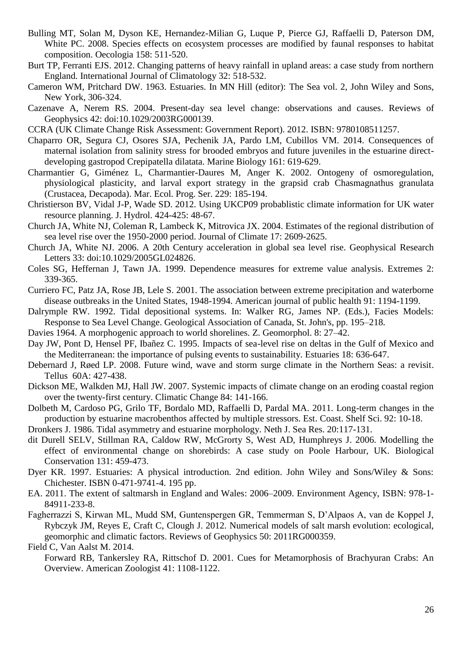- Bulling MT, Solan M, Dyson KE, Hernandez-Milian G, Luque P, Pierce GJ, Raffaelli D, Paterson DM, White PC. 2008. Species effects on ecosystem processes are modified by faunal responses to habitat composition. Oecologia 158: 511-520.
- Burt TP, Ferranti EJS. 2012. Changing patterns of heavy rainfall in upland areas: a case study from northern England. International Journal of Climatology 32: 518-532.
- Cameron WM, Pritchard DW. 1963. Estuaries. In MN Hill (editor): The Sea vol. 2, John Wiley and Sons, New York, 306-324.
- Cazenave A, Nerem RS. 2004. Present-day sea level change: observations and causes. Reviews of Geophysics 42: doi:10.1029/2003RG000139.
- CCRA (UK Climate Change Risk Assessment: Government Report). 2012. ISBN: 9780108511257.
- Chaparro OR, Segura CJ, Osores SJA, Pechenik JA, Pardo LM, Cubillos VM. 2014. Consequences of maternal isolation from salinity stress for brooded embryos and future juveniles in the estuarine directdeveloping gastropod Crepipatella dilatata. Marine Biology 161: 619-629.
- Charmantier G, Giménez L, Charmantier-Daures M, Anger K. 2002. Ontogeny of osmoregulation, physiological plasticity, and larval export strategy in the grapsid crab Chasmagnathus granulata (Crustacea, Decapoda). Mar. Ecol. Prog. Ser. 229: 185-194.
- Christierson BV, Vidal J-P, Wade SD. 2012. Using UKCP09 probablistic climate information for UK water resource planning. J. Hydrol. 424-425: 48-67.
- Church JA, White NJ, Coleman R, Lambeck K, Mitrovica JX. 2004. Estimates of the regional distribution of sea level rise over the 1950-2000 period. Journal of Climate 17: 2609-2625.
- Church JA, White NJ. 2006. A 20th Century acceleration in global sea level rise. Geophysical Research Letters 33: doi:10.1029/2005GL024826.
- Coles SG, Heffernan J, Tawn JA. 1999. Dependence measures for extreme value analysis. Extremes 2: 339-365.
- Curriero FC, Patz JA, Rose JB, Lele S. 2001. The association between extreme precipitation and waterborne disease outbreaks in the United States, 1948-1994. American journal of public health 91: 1194-1199.
- Dalrymple RW. 1992. Tidal depositional systems. In: Walker RG, James NP. (Eds.), Facies Models: Response to Sea Level Change. Geological Association of Canada, St. John's, pp. 195–218.
- Davies 1964. A morphogenic approach to world shorelines. Z. Geomorphol. 8: 27–42.
- Day JW, Pont D, Hensel PF, Ibañez C. 1995. Impacts of sea-level rise on deltas in the Gulf of Mexico and the Mediterranean: the importance of pulsing events to sustainability. Estuaries 18: 636-647.
- Debernard J, Røed LP. 2008. Future wind, wave and storm surge climate in the Northern Seas: a revisit. Tellus 60A: 427-438.
- Dickson ME, Walkden MJ, Hall JW. 2007. Systemic impacts of climate change on an eroding coastal region over the twenty-first century. Climatic Change 84: 141-166.
- Dolbeth M, Cardoso PG, Grilo TF, Bordalo MD, Raffaelli D, Pardal MA. 2011. Long-term changes in the production by estuarine macrobenthos affected by multiple stressors. Est. Coast. Shelf Sci. 92: 10-18.
- Dronkers J. 1986. Tidal asymmetry and estuarine morphology. Neth J. Sea Res. 20:117-131.
- dit Durell SELV, Stillman RA, Caldow RW, McGrorty S, West AD, Humphreys J. 2006. Modelling the effect of environmental change on shorebirds: A case study on Poole Harbour, UK. Biological Conservation 131: 459-473.
- Dyer KR. 1997. Estuaries: A physical introduction. 2nd edition. John Wiley and Sons/Wiley & Sons: Chichester. ISBN 0-471-9741-4. 195 pp.
- EA. 2011. The extent of saltmarsh in England and Wales: 2006–2009. Environment Agency, ISBN: 978-1- 84911-233-8.
- Fagherrazzi S, Kirwan ML, Mudd SM, Guntenspergen GR, Temmerman S, D'Alpaos A, van de Koppel J, Rybczyk JM, Reyes E, Craft C, Clough J. 2012. Numerical models of salt marsh evolution: ecological, geomorphic and climatic factors. Reviews of Geophysics 50: 2011RG000359.

Field C, Van Aalst M. 2014.

Forward RB, Tankersley RA, Rittschof D. 2001. Cues for Metamorphosis of Brachyuran Crabs: An Overview. American Zoologist 41: 1108-1122.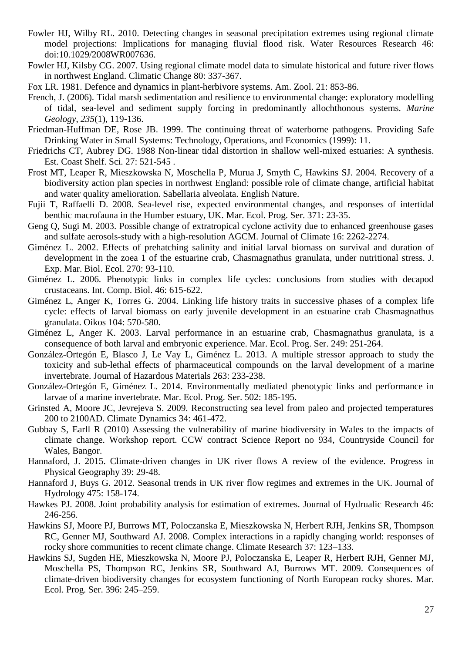- Fowler HJ, Wilby RL. 2010. Detecting changes in seasonal precipitation extremes using regional climate model projections: Implications for managing fluvial flood risk. Water Resources Research 46: doi:10.1029/2008WR007636.
- Fowler HJ, Kilsby CG. 2007. Using regional climate model data to simulate historical and future river flows in northwest England. Climatic Change 80: 337-367.
- Fox LR. 1981. Defence and dynamics in plant-herbivore systems. Am. Zool. 21: 853-86.
- French, J. (2006). Tidal marsh sedimentation and resilience to environmental change: exploratory modelling of tidal, sea-level and sediment supply forcing in predominantly allochthonous systems. *Marine Geology*, *235*(1), 119-136.
- Friedman-Huffman DE, Rose JB. 1999. The continuing threat of waterborne pathogens. Providing Safe Drinking Water in Small Systems: Technology, Operations, and Economics (1999): 11.
- Friedrichs CT, Aubrey DG. 1988 Non-linear tidal distortion in shallow well-mixed estuaries: A synthesis. Est. Coast Shelf. Sci. 27: 521-545 .
- Frost MT, Leaper R, Mieszkowska N, Moschella P, Murua J, Smyth C, Hawkins SJ. 2004. Recovery of a biodiversity action plan species in northwest England: possible role of climate change, artificial habitat and water quality amelioration. Sabellaria alveolata. English Nature.
- Fujii T, Raffaelli D. 2008. Sea-level rise, expected environmental changes, and responses of intertidal benthic macrofauna in the Humber estuary, UK. Mar. Ecol. Prog. Ser. 371: 23-35.
- Geng Q, Sugi M. 2003. Possible change of extratropical cyclone activity due to enhanced greenhouse gases and sulfate aerosols-study with a high-resolution AGCM. Journal of Climate 16: 2262-2274.
- Giménez L. 2002. Effects of prehatching salinity and initial larval biomass on survival and duration of development in the zoea 1 of the estuarine crab, Chasmagnathus granulata, under nutritional stress. J. Exp. Mar. Biol. Ecol. 270: 93-110.
- Giménez L. 2006. Phenotypic links in complex life cycles: conclusions from studies with decapod crustaceans. Int. Comp. Biol. 46: 615-622.
- Giménez L, Anger K, Torres G. 2004. Linking life history traits in successive phases of a complex life cycle: effects of larval biomass on early juvenile development in an estuarine crab Chasmagnathus granulata. Oikos 104: 570-580.
- Giménez L, Anger K. 2003. Larval performance in an estuarine crab, Chasmagnathus granulata, is a consequence of both larval and embryonic experience. Mar. Ecol. Prog. Ser. 249: 251-264.
- González-Ortegón E, Blasco J, Le Vay L, Giménez L. 2013. A multiple stressor approach to study the toxicity and sub-lethal effects of pharmaceutical compounds on the larval development of a marine invertebrate. Journal of Hazardous Materials 263: 233-238.
- González-Ortegón E, Giménez L. 2014. Environmentally mediated phenotypic links and performance in larvae of a marine invertebrate. Mar. Ecol. Prog. Ser. 502: 185-195.
- Grinsted A, Moore JC, Jevrejeva S. 2009. Reconstructing sea level from paleo and projected temperatures 200 to 2100AD. Climate Dynamics 34: 461-472.
- Gubbay S, Earll R (2010) Assessing the vulnerability of marine biodiversity in Wales to the impacts of climate change. Workshop report. CCW contract Science Report no 934, Countryside Council for Wales, Bangor.
- Hannaford, J. 2015. Climate-driven changes in UK river flows A review of the evidence. Progress in Physical Geography 39: 29-48.
- Hannaford J, Buys G. 2012. Seasonal trends in UK river flow regimes and extremes in the UK. Journal of Hydrology 475: 158-174.
- Hawkes PJ. 2008. Joint probability analysis for estimation of extremes. Journal of Hydrualic Research 46: 246-256.
- Hawkins SJ, Moore PJ, Burrows MT, Poloczanska E, Mieszkowska N, Herbert RJH, Jenkins SR, Thompson RC, Genner MJ, Southward AJ. 2008. Complex interactions in a rapidly changing world: responses of rocky shore communities to recent climate change. Climate Research 37: 123–133.
- Hawkins SJ, Sugden HE, Mieszkowska N, Moore PJ, Poloczanska E, Leaper R, Herbert RJH, Genner MJ, Moschella PS, Thompson RC, Jenkins SR, Southward AJ, Burrows MT. 2009. Consequences of climate-driven biodiversity changes for ecosystem functioning of North European rocky shores. Mar. Ecol. Prog. Ser. 396: 245–259.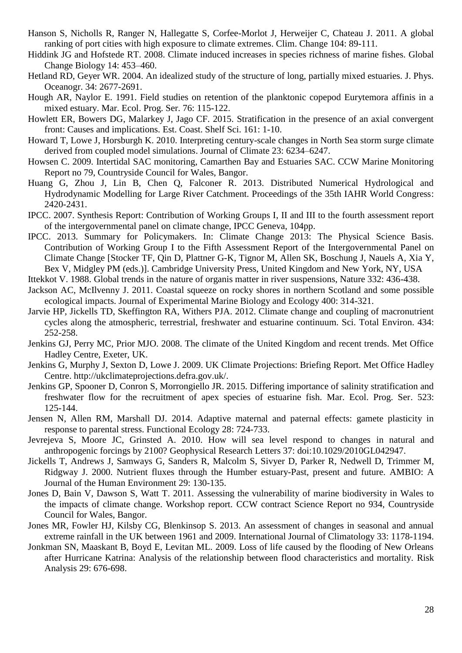- Hanson S, Nicholls R, Ranger N, Hallegatte S, Corfee-Morlot J, Herweijer C, Chateau J. 2011. A global ranking of port cities with high exposure to climate extremes. Clim. Change 104: 89-111.
- Hiddink JG and Hofstede RT. 2008. Climate induced increases in species richness of marine fishes. Global Change Biology 14: 453–460.
- Hetland RD, Geyer WR. 2004. An idealized study of the structure of long, partially mixed estuaries. J. Phys. Oceanogr. 34: 2677-2691.
- Hough AR, Naylor E. 1991. Field studies on retention of the planktonic copepod Eurytemora affinis in a mixed estuary. Mar. Ecol. Prog. Ser. 76: 115-122.
- Howlett ER, Bowers DG, Malarkey J, Jago CF. 2015. Stratification in the presence of an axial convergent front: Causes and implications. Est. Coast. Shelf Sci. 161: 1-10.
- Howard T, Lowe J, Horsburgh K. 2010. Interpreting century-scale changes in North Sea storm surge climate derived from coupled model simulations. Journal of Climate 23: 6234–6247.
- Howsen C. 2009. Intertidal SAC monitoring, Camarthen Bay and Estuaries SAC. CCW Marine Monitoring Report no 79, Countryside Council for Wales, Bangor.
- Huang G, Zhou J, Lin B, Chen Q, Falconer R. 2013. Distributed Numerical Hydrological and Hydrodynamic Modelling for Large River Catchment. Proceedings of the 35th IAHR World Congress: 2420-2431.
- IPCC. 2007. Synthesis Report: Contribution of Working Groups I, II and III to the fourth assessment report of the intergovernmental panel on climate change, IPCC Geneva, 104pp.
- IPCC. 2013. Summary for Policymakers. In: Climate Change 2013: The Physical Science Basis. Contribution of Working Group I to the Fifth Assessment Report of the Intergovernmental Panel on Climate Change [Stocker TF, Qin D, Plattner G-K, Tignor M, Allen SK, Boschung J, Nauels A, Xia Y, Bex V, Midgley PM (eds.)]. Cambridge University Press, United Kingdom and New York, NY, USA
- Ittekkot V. 1988. Global trends in the nature of organis matter in river suspensions, Nature 332: 436-438.
- Jackson AC, McIlvenny J. 2011. Coastal squeeze on rocky shores in northern Scotland and some possible ecological impacts. Journal of Experimental Marine Biology and Ecology 400: 314-321.
- Jarvie HP, Jickells TD, Skeffington RA, Withers PJA. 2012. Climate change and coupling of macronutrient cycles along the atmospheric, terrestrial, freshwater and estuarine continuum. Sci. Total Environ. 434: 252-258.
- Jenkins GJ, Perry MC, Prior MJO. 2008. The climate of the United Kingdom and recent trends. Met Office Hadley Centre, Exeter, UK.
- Jenkins G, Murphy J, Sexton D, Lowe J. 2009. UK Climate Projections: Briefing Report. Met Office Hadley Centre. http://ukclimateprojections.defra.gov.uk/.
- Jenkins GP, Spooner D, Conron S, Morrongiello JR. 2015. Differing importance of salinity stratification and freshwater flow for the recruitment of apex species of estuarine fish. Mar. Ecol. Prog. Ser. 523: 125-144.
- Jensen N, Allen RM, Marshall DJ. 2014. Adaptive maternal and paternal effects: gamete plasticity in response to parental stress. Functional Ecology 28: 724-733.
- Jevrejeva S, Moore JC, Grinsted A. 2010. How will sea level respond to changes in natural and anthropogenic forcings by 2100? Geophysical Research Letters 37: doi:10.1029/2010GL042947.
- Jickells T, Andrews J, Samways G, Sanders R, Malcolm S, Sivyer D, Parker R, Nedwell D, Trimmer M, Ridgway J. 2000. Nutrient fluxes through the Humber estuary-Past, present and future. AMBIO: A Journal of the Human Environment 29: 130-135.
- Jones D, Bain V, Dawson S, Watt T. 2011. Assessing the vulnerability of marine biodiversity in Wales to the impacts of climate change. Workshop report. CCW contract Science Report no 934, Countryside Council for Wales, Bangor.
- Jones MR, Fowler HJ, Kilsby CG, Blenkinsop S. 2013. An assessment of changes in seasonal and annual extreme rainfall in the UK between 1961 and 2009. International Journal of Climatology 33: 1178-1194.
- Jonkman SN, Maaskant B, Boyd E, Levitan ML. 2009. Loss of life caused by the flooding of New Orleans after Hurricane Katrina: Analysis of the relationship between flood characteristics and mortality. Risk Analysis 29: 676-698.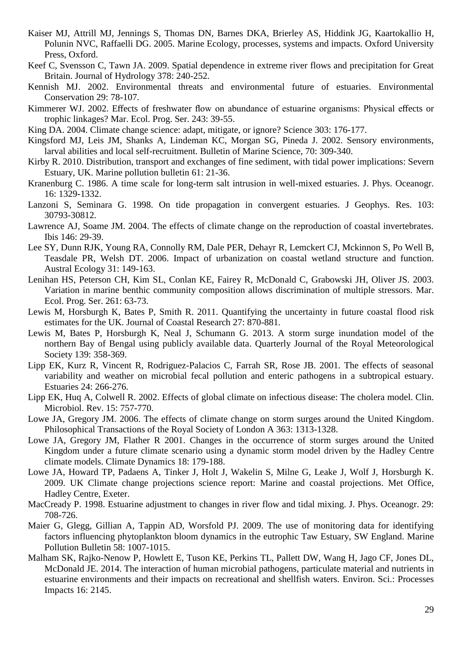- Kaiser MJ, Attrill MJ, Jennings S, Thomas DN, Barnes DKA, Brierley AS, Hiddink JG, Kaartokallio H, Polunin NVC, Raffaelli DG. 2005. Marine Ecology, processes, systems and impacts. Oxford University Press, Oxford.
- Keef C, Svensson C, Tawn JA. 2009. Spatial dependence in extreme river flows and precipitation for Great Britain. Journal of Hydrology 378: 240-252.
- Kennish MJ. 2002. Environmental threats and environmental future of estuaries. Environmental Conservation 29: 78-107.
- Kimmerer WJ. 2002. Effects of freshwater flow on abundance of estuarine organisms: Physical effects or trophic linkages? Mar. Ecol. Prog. Ser. 243: 39-55.
- King DA. 2004. Climate change science: adapt, mitigate, or ignore? Science 303: 176-177.
- Kingsford MJ, Leis JM, Shanks A, Lindeman KC, Morgan SG, Pineda J. 2002. Sensory environments, larval abilities and local self-recruitment. Bulletin of Marine Science, 70: 309-340.
- Kirby R. 2010. Distribution, transport and exchanges of fine sediment, with tidal power implications: Severn Estuary, UK. Marine pollution bulletin 61: 21-36.
- Kranenburg C. 1986. A time scale for long-term salt intrusion in well-mixed estuaries. J. Phys. Oceanogr. 16: 1329-1332.
- Lanzoni S, Seminara G. 1998. On tide propagation in convergent estuaries. J Geophys. Res. 103: 30793-30812.
- Lawrence AJ, Soame JM. 2004. The effects of climate change on the reproduction of coastal invertebrates. Ibis 146: 29-39.
- Lee SY, Dunn RJK, Young RA, Connolly RM, Dale PER, Dehayr R, Lemckert CJ, Mckinnon S, Po Well B, Teasdale PR, Welsh DT. 2006. Impact of urbanization on coastal wetland structure and function. Austral Ecology 31: 149-163.
- Lenihan HS, Peterson CH, Kim SL, Conlan KE, Fairey R, McDonald C, Grabowski JH, Oliver JS. 2003. Variation in marine benthic community composition allows discrimination of multiple stressors. Mar. Ecol. Prog. Ser. 261: 63-73.
- Lewis M, Horsburgh K, Bates P, Smith R. 2011. Quantifying the uncertainty in future coastal flood risk estimates for the UK. Journal of Coastal Research 27: 870-881.
- Lewis M, Bates P, Horsburgh K, Neal J, Schumann G. 2013. A storm surge inundation model of the northern Bay of Bengal using publicly available data. Quarterly Journal of the Royal Meteorological Society 139: 358-369.
- Lipp EK, Kurz R, Vincent R, Rodriguez-Palacios C, Farrah SR, Rose JB. 2001. The effects of seasonal variability and weather on microbial fecal pollution and enteric pathogens in a subtropical estuary. Estuaries 24: 266-276.
- Lipp EK, Huq A, Colwell R. 2002. Effects of global climate on infectious disease: The cholera model. Clin. Microbiol. Rev. 15: 757-770.
- Lowe JA, Gregory JM. 2006. The effects of climate change on storm surges around the United Kingdom. Philosophical Transactions of the Royal Society of London A 363: 1313-1328.
- Lowe JA, Gregory JM, Flather R 2001. Changes in the occurrence of storm surges around the United Kingdom under a future climate scenario using a dynamic storm model driven by the Hadley Centre climate models. Climate Dynamics 18: 179-188.
- Lowe JA, Howard TP, Padaens A, Tinker J, Holt J, Wakelin S, Milne G, Leake J, Wolf J, Horsburgh K. 2009. UK Climate change projections science report: Marine and coastal projections. Met Office, Hadley Centre, Exeter.
- MacCready P. 1998. Estuarine adjustment to changes in river flow and tidal mixing. J. Phys. Oceanogr. 29: 708-726.
- Maier G, Glegg, Gillian A, Tappin AD, Worsfold PJ. 2009. The use of monitoring data for identifying factors influencing phytoplankton bloom dynamics in the eutrophic Taw Estuary, SW England. Marine Pollution Bulletin 58: 1007-1015.
- Malham SK, Rajko-Nenow P, Howlett E, Tuson KE, Perkins TL, Pallett DW, Wang H, Jago CF, Jones DL, McDonald JE. 2014. The interaction of human microbial pathogens, particulate material and nutrients in estuarine environments and their impacts on recreational and shellfish waters. Environ. Sci.: Processes Impacts 16: 2145.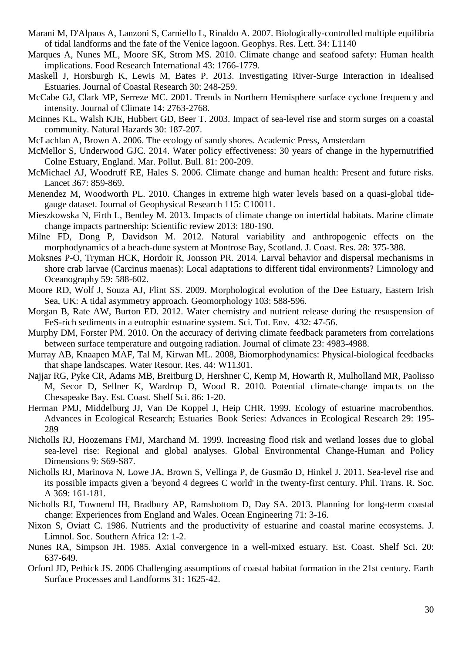- Marani M, D'Alpaos A, Lanzoni S, Carniello L, Rinaldo A. 2007. Biologically-controlled multiple equilibria of tidal landforms and the fate of the Venice lagoon. Geophys. Res. Lett. 34: L1140
- Marques A, Nunes ML, Moore SK, Strom MS. 2010. Climate change and seafood safety: Human health implications. Food Research International 43: 1766-1779.
- Maskell J, Horsburgh K, Lewis M, Bates P. 2013. Investigating River-Surge Interaction in Idealised Estuaries. Journal of Coastal Research 30: 248-259.
- McCabe GJ, Clark MP, Serreze MC. 2001. Trends in Northern Hemisphere surface cyclone frequency and intensity. Journal of Climate 14: 2763-2768.
- Mcinnes KL, Walsh KJE, Hubbert GD, Beer T. 2003. Impact of sea-level rise and storm surges on a coastal community. Natural Hazards 30: 187-207.
- McLachlan A, Brown A. 2006. The ecology of sandy shores. Academic Press, Amsterdam
- McMellor S, Underwood GJC. 2014. Water policy effectiveness: 30 years of change in the hypernutrified Colne Estuary, England. Mar. Pollut. Bull. 81: 200-209.
- McMichael AJ, Woodruff RE, Hales S. 2006. Climate change and human health: Present and future risks. Lancet 367: 859-869.
- Menendez M, Woodworth PL. 2010. Changes in extreme high water levels based on a quasi-global tidegauge dataset. Journal of Geophysical Research 115: C10011.
- Mieszkowska N, Firth L, Bentley M. 2013. Impacts of climate change on intertidal habitats. Marine climate change impacts partnership: Scientific review 2013: 180-190.
- Milne FD, Dong P, Davidson M. 2012. Natural variability and anthropogenic effects on the morphodynamics of a beach-dune system at Montrose Bay, Scotland. J. Coast. Res. 28: 375-388.
- Moksnes P-O, Tryman HCK, Hordoir R, Jonsson PR. 2014. Larval behavior and dispersal mechanisms in shore crab larvae (Carcinus maenas): Local adaptations to different tidal environments? Limnology and Oceanography 59: 588-602.
- Moore RD, Wolf J, Souza AJ, Flint SS. 2009. Morphological evolution of the Dee Estuary, Eastern Irish Sea, UK: A tidal asymmetry approach. Geomorphology 103: 588-596.
- Morgan B, Rate AW, Burton ED. 2012. Water chemistry and nutrient release during the resuspension of FeS-rich sediments in a eutrophic estuarine system. Sci. Tot. Env. 432: 47-56.
- Murphy DM, Forster PM. 2010. On the accuracy of deriving climate feedback parameters from correlations between surface temperature and outgoing radiation. Journal of climate 23: 4983-4988.
- Murray AB, Knaapen MAF, Tal M, Kirwan ML. 2008, Biomorphodynamics: Physical-biological feedbacks that shape landscapes. Water Resour. Res. 44: W11301.
- Najjar RG, Pyke CR, Adams MB, Breitburg D, Hershner C, Kemp M, Howarth R, Mulholland MR, Paolisso M, Secor D, Sellner K, Wardrop D, Wood R. 2010. Potential climate-change impacts on the Chesapeake Bay. Est. Coast. Shelf Sci. 86: 1-20.
- Herman PMJ, Middelburg JJ, Van De Koppel J, Heip CHR. 1999. Ecology of estuarine macrobenthos. Advances in Ecological Research; Estuaries Book Series: Advances in Ecological Research 29: 195- 289
- Nicholls RJ, Hoozemans FMJ, Marchand M. 1999. Increasing flood risk and wetland losses due to global sea-level rise: Regional and global analyses. Global Environmental Change-Human and Policy Dimensions 9: S69-S87.
- Nicholls RJ, Marinova N, Lowe JA, Brown S, Vellinga P, de Gusmão D, Hinkel J. 2011. Sea-level rise and its possible impacts given a 'beyond 4 degrees C world' in the twenty-first century. Phil. Trans. R. Soc. A 369: 161-181.
- Nicholls RJ, Townend IH, Bradbury AP, Ramsbottom D, Day SA. 2013. Planning for long-term coastal change: Experiences from England and Wales. Ocean Engineering 71: 3-16.
- Nixon S, Oviatt C. 1986. Nutrients and the productivity of estuarine and coastal marine ecosystems. J. Limnol. Soc. Southern Africa 12: 1-2.
- Nunes RA, Simpson JH. 1985. Axial convergence in a well-mixed estuary. Est. Coast. Shelf Sci. 20: 637-649.
- Orford JD, Pethick JS. 2006 Challenging assumptions of coastal habitat formation in the 21st century. Earth Surface Processes and Landforms 31: 1625-42.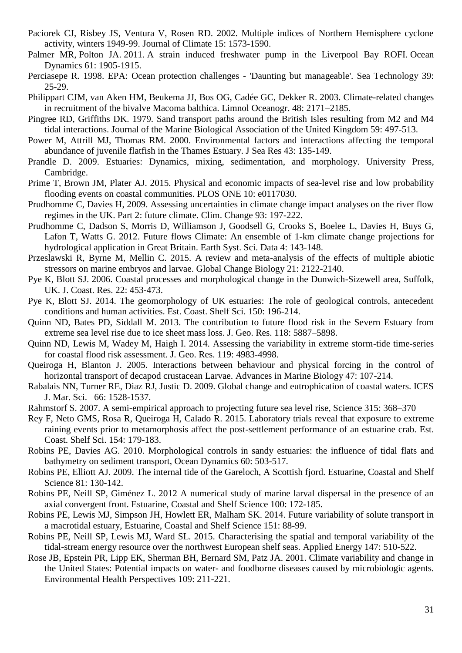- Paciorek CJ, Risbey JS, Ventura V, Rosen RD. 2002. Multiple indices of Northern Hemisphere cyclone activity, winters 1949-99. Journal of Climate 15: 1573-1590.
- Palmer MR, Polton JA. 2011. A strain induced freshwater pump in the Liverpool Bay ROFI. Ocean Dynamics 61: 1905-1915.
- Perciasepe R. 1998. EPA: Ocean protection challenges 'Daunting but manageable'. Sea Technology 39: 25-29.
- Philippart CJM, van Aken HM, Beukema JJ, Bos OG, Cadée GC, Dekker R. 2003. Climate-related changes in recruitment of the bivalve Macoma balthica. Limnol Oceanogr. 48: 2171–2185.
- Pingree RD, Griffiths DK. 1979. Sand transport paths around the British Isles resulting from M2 and M4 tidal interactions. Journal of the Marine Biological Association of the United Kingdom 59: 497-513.
- Power M, Attrill MJ, Thomas RM. 2000. Environmental factors and interactions affecting the temporal abundance of juvenile flatfish in the Thames Estuary. J Sea Res 43: 135-149.
- Prandle D. 2009. Estuaries: Dynamics, mixing, sedimentation, and morphology. University Press, Cambridge.
- Prime T, Brown JM, Plater AJ. 2015. Physical and economic impacts of sea-level rise and low probability flooding events on coastal communities. PLOS ONE 10: e0117030.
- Prudhomme C, Davies H, 2009. Assessing uncertainties in climate change impact analyses on the river flow regimes in the UK. Part 2: future climate. Clim. Change 93: 197-222.
- Prudhomme C, Dadson S, Morris D, Williamson J, Goodsell G, Crooks S, Boelee L, Davies H, Buys G, Lafon T, Watts G. 2012. Future flows Climate: An ensemble of 1-km climate change projections for hydrological application in Great Britain. Earth Syst. Sci. Data 4: 143-148.
- Przeslawski R, Byrne M, Mellin C. 2015. A review and meta-analysis of the effects of multiple abiotic stressors on marine embryos and larvae. Global Change Biology 21: 2122-2140.
- Pye K, Blott SJ. 2006. Coastal processes and morphological change in the Dunwich-Sizewell area, Suffolk, UK. J. Coast. Res. 22: 453-473.
- Pye K, Blott SJ. 2014. The geomorphology of UK estuaries: The role of geological controls, antecedent conditions and human activities. Est. Coast. Shelf Sci. 150: 196-214.
- Quinn ND, Bates PD, Siddall M. 2013. The contribution to future flood risk in the Severn Estuary from extreme sea level rise due to ice sheet mass loss. J. Geo. Res. 118: 5887–5898.
- Quinn ND, Lewis M, Wadey M, Haigh I. 2014. Assessing the variability in extreme storm-tide time-series for coastal flood risk assessment. J. Geo. Res. 119: 4983-4998.
- Queiroga H, Blanton J. 2005. Interactions between behaviour and physical forcing in the control of horizontal transport of decapod crustacean Larvae. Advances in Marine Biology 47: 107-214.
- Rabalais NN, Turner RE, Diaz RJ, Justic D. 2009. Global change and eutrophication of coastal waters. ICES J. Mar. Sci. 66: 1528-1537.
- Rahmstorf S. 2007. A semi-empirical approach to projecting future sea level rise, Science 315: 368–370
- Rey F, Neto GMS, Rosa R, Queiroga H, Calado R. 2015. Laboratory trials reveal that exposure to extreme raining events prior to metamorphosis affect the post-settlement performance of an estuarine crab. Est. Coast. Shelf Sci. 154: 179-183.
- Robins PE, Davies AG. 2010. Morphological controls in sandy estuaries: the influence of tidal flats and bathymetry on sediment transport, Ocean Dynamics 60: 503-517.
- Robins PE, Elliott AJ. 2009. The internal tide of the Gareloch, A Scottish fjord. Estuarine, Coastal and Shelf Science 81: 130-142.
- Robins PE, Neill SP, Giménez L. 2012 A numerical study of marine larval dispersal in the presence of an axial convergent front. Estuarine, Coastal and Shelf Science 100: 172-185.
- Robins PE, Lewis MJ, Simpson JH, Howlett ER, Malham SK. 2014. Future variability of solute transport in a macrotidal estuary, Estuarine, Coastal and Shelf Science 151: 88-99.
- Robins PE, Neill SP, Lewis MJ, Ward SL. 2015. Characterising the spatial and temporal variability of the tidal-stream energy resource over the northwest European shelf seas. Applied Energy 147: 510-522.
- Rose JB, Epstein PR, Lipp EK, Sherman BH, Bernard SM, Patz JA. 2001. Climate variability and change in the United States: Potential impacts on water- and foodborne diseases caused by microbiologic agents. Environmental Health Perspectives 109: 211-221.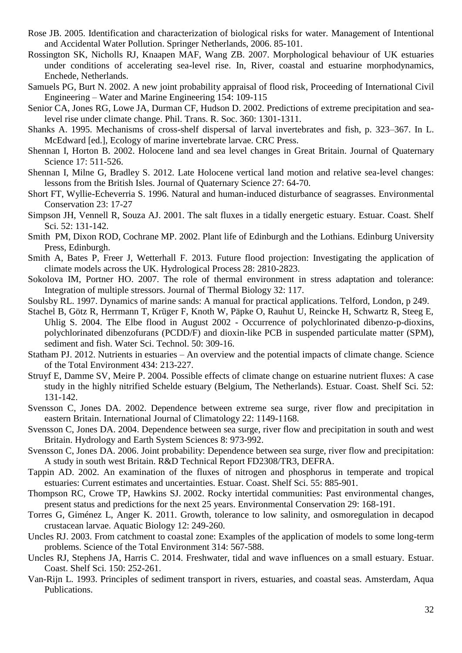- Rose JB. 2005. Identification and characterization of biological risks for water. Management of Intentional and Accidental Water Pollution. Springer Netherlands, 2006. 85-101.
- Rossington SK, Nicholls RJ, Knaapen MAF, Wang ZB. 2007. Morphological behaviour of UK estuaries under conditions of accelerating sea-level rise. In, River, coastal and estuarine morphodynamics, Enchede, Netherlands.
- Samuels PG, Burt N. 2002. A new joint probability appraisal of flood risk, Proceeding of International Civil Engineering – Water and Marine Engineering 154: 109-115
- Senior CA, Jones RG, Lowe JA, Durman CF, Hudson D. 2002. Predictions of extreme precipitation and sealevel rise under climate change. Phil. Trans. R. Soc. 360: 1301-1311.
- Shanks A. 1995. Mechanisms of cross-shelf dispersal of larval invertebrates and fish, p. 323–367. In L. McEdward [ed.], Ecology of marine invertebrate larvae. CRC Press.
- Shennan I, Horton B. 2002. Holocene land and sea level changes in Great Britain. Journal of Quaternary Science 17: 511-526.
- Shennan I, Milne G, Bradley S. 2012. Late Holocene vertical land motion and relative sea-level changes: lessons from the British Isles. Journal of Quaternary Science 27: 64-70.
- Short FT, Wyllie-Echeverria S. 1996. Natural and human-induced disturbance of seagrasses. Environmental Conservation 23: 17-27
- Simpson JH, Vennell R, Souza AJ. 2001. The salt fluxes in a tidally energetic estuary. Estuar. Coast. Shelf Sci. 52: 131-142.
- Smith PM, Dixon ROD, Cochrane MP. 2002. Plant life of Edinburgh and the Lothians. Edinburg University Press, Edinburgh.
- Smith A, Bates P, Freer J, Wetterhall F. 2013. Future flood projection: Investigating the application of climate models across the UK. Hydrological Process 28: 2810-2823.
- Sokolova IM, Portner HO. 2007. The role of thermal environment in stress adaptation and tolerance: Integration of multiple stressors. Journal of Thermal Biology 32: 117.
- Soulsby RL. 1997. Dynamics of marine sands: A manual for practical applications. Telford, London, p 249.
- Stachel B, Götz R, Herrmann T, Krüger F, Knoth W, Päpke O, Rauhut U, Reincke H, Schwartz R, Steeg E, Uhlig S. 2004. The Elbe flood in August 2002 - Occurrence of polychlorinated dibenzo-p-dioxins, polychlorinated dibenzofurans (PCDD/F) and dioxin-like PCB in suspended particulate matter (SPM), sediment and fish. Water Sci. Technol. 50: 309-16.
- Statham PJ. 2012. Nutrients in estuaries An overview and the potential impacts of climate change. Science of the Total Environment 434: 213-227.
- Struyf E, Damme SV, Meire P. 2004. Possible effects of climate change on estuarine nutrient fluxes: A case study in the highly nitrified Schelde estuary (Belgium, The Netherlands). Estuar. Coast. Shelf Sci. 52: 131-142.
- Svensson C, Jones DA. 2002. Dependence between extreme sea surge, river flow and precipitation in eastern Britain. International Journal of Climatology 22: 1149-1168.
- Svensson C, Jones DA. 2004. Dependence between sea surge, river flow and precipitation in south and west Britain. Hydrology and Earth System Sciences 8: 973-992.
- Svensson C, Jones DA. 2006. Joint probability: Dependence between sea surge, river flow and precipitation: A study in south west Britain. R&D Technical Report FD2308/TR3, DEFRA.
- Tappin AD. 2002. An examination of the fluxes of nitrogen and phosphorus in temperate and tropical estuaries: Current estimates and uncertainties. Estuar. Coast. Shelf Sci. 55: 885-901.
- Thompson RC, Crowe TP, Hawkins SJ. 2002. Rocky intertidal communities: Past environmental changes, present status and predictions for the next 25 years. Environmental Conservation 29: 168-191.
- Torres G, Giménez L, Anger K. 2011. Growth, tolerance to low salinity, and osmoregulation in decapod crustacean larvae. Aquatic Biology 12: 249-260.
- Uncles RJ. 2003. From catchment to coastal zone: Examples of the application of models to some long-term problems. Science of the Total Environment 314: 567-588.
- Uncles RJ, Stephens JA, Harris C. 2014. Freshwater, tidal and wave influences on a small estuary. Estuar. Coast. Shelf Sci. 150: 252-261.
- Van-Rijn L. 1993. Principles of sediment transport in rivers, estuaries, and coastal seas. Amsterdam, Aqua Publications.